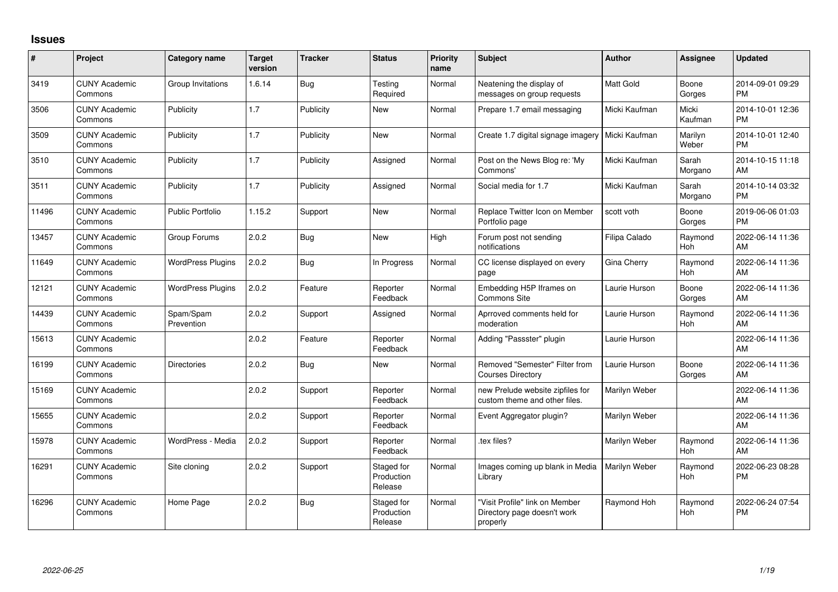## **Issues**

| #     | Project                         | <b>Category name</b>     | <b>Target</b><br>version | <b>Tracker</b> | <b>Status</b>                       | <b>Priority</b><br>name | <b>Subject</b>                                                            | <b>Author</b> | <b>Assignee</b>       | <b>Updated</b>                |
|-------|---------------------------------|--------------------------|--------------------------|----------------|-------------------------------------|-------------------------|---------------------------------------------------------------------------|---------------|-----------------------|-------------------------------|
| 3419  | <b>CUNY Academic</b><br>Commons | Group Invitations        | 1.6.14                   | <b>Bug</b>     | Testing<br>Required                 | Normal                  | Neatening the display of<br>messages on group requests                    | Matt Gold     | Boone<br>Gorges       | 2014-09-01 09:29<br><b>PM</b> |
| 3506  | <b>CUNY Academic</b><br>Commons | Publicity                | 1.7                      | Publicity      | New                                 | Normal                  | Prepare 1.7 email messaging                                               | Micki Kaufman | Micki<br>Kaufman      | 2014-10-01 12:36<br><b>PM</b> |
| 3509  | <b>CUNY Academic</b><br>Commons | Publicity                | 1.7                      | Publicity      | <b>New</b>                          | Normal                  | Create 1.7 digital signage imagery                                        | Micki Kaufman | Marilyn<br>Weber      | 2014-10-01 12:40<br><b>PM</b> |
| 3510  | <b>CUNY Academic</b><br>Commons | Publicity                | 1.7                      | Publicity      | Assigned                            | Normal                  | Post on the News Blog re: 'My<br>Commons'                                 | Micki Kaufman | Sarah<br>Morgano      | 2014-10-15 11:18<br>AM        |
| 3511  | <b>CUNY Academic</b><br>Commons | Publicity                | 1.7                      | Publicity      | Assigned                            | Normal                  | Social media for 1.7                                                      | Micki Kaufman | Sarah<br>Morgano      | 2014-10-14 03:32<br><b>PM</b> |
| 11496 | <b>CUNY Academic</b><br>Commons | <b>Public Portfolio</b>  | 1.15.2                   | Support        | <b>New</b>                          | Normal                  | Replace Twitter Icon on Member<br>Portfolio page                          | scott voth    | Boone<br>Gorges       | 2019-06-06 01:03<br><b>PM</b> |
| 13457 | <b>CUNY Academic</b><br>Commons | Group Forums             | 2.0.2                    | <b>Bug</b>     | <b>New</b>                          | High                    | Forum post not sending<br>notifications                                   | Filipa Calado | Raymond<br><b>Hoh</b> | 2022-06-14 11:36<br>AM        |
| 11649 | <b>CUNY Academic</b><br>Commons | <b>WordPress Plugins</b> | 2.0.2                    | Bug            | In Progress                         | Normal                  | CC license displayed on every<br>page                                     | Gina Cherry   | Raymond<br>Hoh        | 2022-06-14 11:36<br>AM        |
| 12121 | <b>CUNY Academic</b><br>Commons | <b>WordPress Plugins</b> | 2.0.2                    | Feature        | Reporter<br>Feedback                | Normal                  | Embedding H5P Iframes on<br>Commons Site                                  | Laurie Hurson | Boone<br>Gorges       | 2022-06-14 11:36<br>AM        |
| 14439 | <b>CUNY Academic</b><br>Commons | Spam/Spam<br>Prevention  | 2.0.2                    | Support        | Assigned                            | Normal                  | Aprroved comments held for<br>moderation                                  | Laurie Hurson | Raymond<br>Hoh        | 2022-06-14 11:36<br>AM        |
| 15613 | <b>CUNY Academic</b><br>Commons |                          | 2.0.2                    | Feature        | Reporter<br>Feedback                | Normal                  | Adding "Passster" plugin                                                  | Laurie Hurson |                       | 2022-06-14 11:36<br>AM        |
| 16199 | <b>CUNY Academic</b><br>Commons | <b>Directories</b>       | 2.0.2                    | Bug            | New                                 | Normal                  | Removed "Semester" Filter from<br><b>Courses Directory</b>                | Laurie Hurson | Boone<br>Gorges       | 2022-06-14 11:36<br>AM        |
| 15169 | <b>CUNY Academic</b><br>Commons |                          | 2.0.2                    | Support        | Reporter<br>Feedback                | Normal                  | new Prelude website zipfiles for<br>custom theme and other files.         | Marilyn Weber |                       | 2022-06-14 11:36<br>AM        |
| 15655 | <b>CUNY Academic</b><br>Commons |                          | 2.0.2                    | Support        | Reporter<br>Feedback                | Normal                  | Event Aggregator plugin?                                                  | Marilyn Weber |                       | 2022-06-14 11:36<br>AM        |
| 15978 | <b>CUNY Academic</b><br>Commons | WordPress - Media        | 2.0.2                    | Support        | Reporter<br>Feedback                | Normal                  | tex files?                                                                | Marilyn Weber | Raymond<br>Hoh        | 2022-06-14 11:36<br>AM        |
| 16291 | <b>CUNY Academic</b><br>Commons | Site cloning             | 2.0.2                    | Support        | Staged for<br>Production<br>Release | Normal                  | Images coming up blank in Media<br>Library                                | Marilyn Weber | Raymond<br>Hoh        | 2022-06-23 08:28<br><b>PM</b> |
| 16296 | <b>CUNY Academic</b><br>Commons | Home Page                | 2.0.2                    | Bug            | Staged for<br>Production<br>Release | Normal                  | "Visit Profile" link on Member<br>Directory page doesn't work<br>properly | Raymond Hoh   | Raymond<br><b>Hoh</b> | 2022-06-24 07:54<br><b>PM</b> |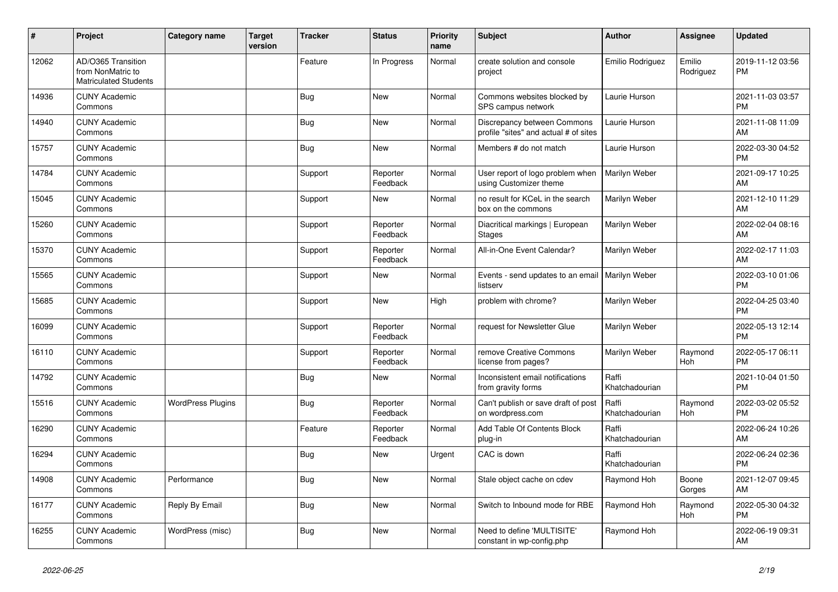| #     | Project                                                                 | <b>Category name</b>     | <b>Target</b><br>version | <b>Tracker</b> | <b>Status</b>        | <b>Priority</b><br>name | <b>Subject</b>                                                       | <b>Author</b>           | <b>Assignee</b>       | <b>Updated</b>                |
|-------|-------------------------------------------------------------------------|--------------------------|--------------------------|----------------|----------------------|-------------------------|----------------------------------------------------------------------|-------------------------|-----------------------|-------------------------------|
| 12062 | AD/O365 Transition<br>from NonMatric to<br><b>Matriculated Students</b> |                          |                          | Feature        | In Progress          | Normal                  | create solution and console<br>project                               | Emilio Rodriguez        | Emilio<br>Rodriguez   | 2019-11-12 03:56<br><b>PM</b> |
| 14936 | <b>CUNY Academic</b><br>Commons                                         |                          |                          | <b>Bug</b>     | <b>New</b>           | Normal                  | Commons websites blocked by<br>SPS campus network                    | Laurie Hurson           |                       | 2021-11-03 03:57<br><b>PM</b> |
| 14940 | <b>CUNY Academic</b><br>Commons                                         |                          |                          | <b>Bug</b>     | <b>New</b>           | Normal                  | Discrepancy between Commons<br>profile "sites" and actual # of sites | Laurie Hurson           |                       | 2021-11-08 11:09<br>AM        |
| 15757 | <b>CUNY Academic</b><br>Commons                                         |                          |                          | <b>Bug</b>     | New                  | Normal                  | Members # do not match                                               | Laurie Hurson           |                       | 2022-03-30 04:52<br><b>PM</b> |
| 14784 | <b>CUNY Academic</b><br>Commons                                         |                          |                          | Support        | Reporter<br>Feedback | Normal                  | User report of logo problem when<br>using Customizer theme           | Marilyn Weber           |                       | 2021-09-17 10:25<br>AM        |
| 15045 | <b>CUNY Academic</b><br>Commons                                         |                          |                          | Support        | <b>New</b>           | Normal                  | no result for KCeL in the search<br>box on the commons               | Marilyn Weber           |                       | 2021-12-10 11:29<br>AM        |
| 15260 | <b>CUNY Academic</b><br>Commons                                         |                          |                          | Support        | Reporter<br>Feedback | Normal                  | Diacritical markings   European<br><b>Stages</b>                     | Marilyn Weber           |                       | 2022-02-04 08:16<br>AM        |
| 15370 | <b>CUNY Academic</b><br>Commons                                         |                          |                          | Support        | Reporter<br>Feedback | Normal                  | All-in-One Event Calendar?                                           | Marilyn Weber           |                       | 2022-02-17 11:03<br>AM        |
| 15565 | <b>CUNY Academic</b><br>Commons                                         |                          |                          | Support        | <b>New</b>           | Normal                  | Events - send updates to an email   Marilyn Weber<br>listserv        |                         |                       | 2022-03-10 01:06<br><b>PM</b> |
| 15685 | <b>CUNY Academic</b><br>Commons                                         |                          |                          | Support        | <b>New</b>           | High                    | problem with chrome?                                                 | Marilyn Weber           |                       | 2022-04-25 03:40<br><b>PM</b> |
| 16099 | <b>CUNY Academic</b><br>Commons                                         |                          |                          | Support        | Reporter<br>Feedback | Normal                  | request for Newsletter Glue                                          | Marilyn Weber           |                       | 2022-05-13 12:14<br><b>PM</b> |
| 16110 | <b>CUNY Academic</b><br>Commons                                         |                          |                          | Support        | Reporter<br>Feedback | Normal                  | remove Creative Commons<br>license from pages?                       | Marilyn Weber           | Raymond<br><b>Hoh</b> | 2022-05-17 06:11<br><b>PM</b> |
| 14792 | <b>CUNY Academic</b><br>Commons                                         |                          |                          | <b>Bug</b>     | New                  | Normal                  | Inconsistent email notifications<br>from gravity forms               | Raffi<br>Khatchadourian |                       | 2021-10-04 01:50<br><b>PM</b> |
| 15516 | <b>CUNY Academic</b><br>Commons                                         | <b>WordPress Plugins</b> |                          | <b>Bug</b>     | Reporter<br>Feedback | Normal                  | Can't publish or save draft of post<br>on wordpress.com              | Raffi<br>Khatchadourian | Raymond<br>Hoh        | 2022-03-02 05:52<br><b>PM</b> |
| 16290 | <b>CUNY Academic</b><br>Commons                                         |                          |                          | Feature        | Reporter<br>Feedback | Normal                  | Add Table Of Contents Block<br>plug-in                               | Raffi<br>Khatchadourian |                       | 2022-06-24 10:26<br>AM        |
| 16294 | <b>CUNY Academic</b><br>Commons                                         |                          |                          | <b>Bug</b>     | New                  | Urgent                  | CAC is down                                                          | Raffi<br>Khatchadourian |                       | 2022-06-24 02:36<br><b>PM</b> |
| 14908 | <b>CUNY Academic</b><br>Commons                                         | Performance              |                          | <b>Bug</b>     | <b>New</b>           | Normal                  | Stale object cache on cdev                                           | Raymond Hoh             | Boone<br>Gorges       | 2021-12-07 09:45<br>AM        |
| 16177 | <b>CUNY Academic</b><br>Commons                                         | Reply By Email           |                          | <b>Bug</b>     | <b>New</b>           | Normal                  | Switch to Inbound mode for RBE                                       | Raymond Hoh             | Raymond<br>Hoh        | 2022-05-30 04:32<br><b>PM</b> |
| 16255 | <b>CUNY Academic</b><br>Commons                                         | WordPress (misc)         |                          | Bug            | <b>New</b>           | Normal                  | Need to define 'MULTISITE'<br>constant in wp-config.php              | Raymond Hoh             |                       | 2022-06-19 09:31<br>AM        |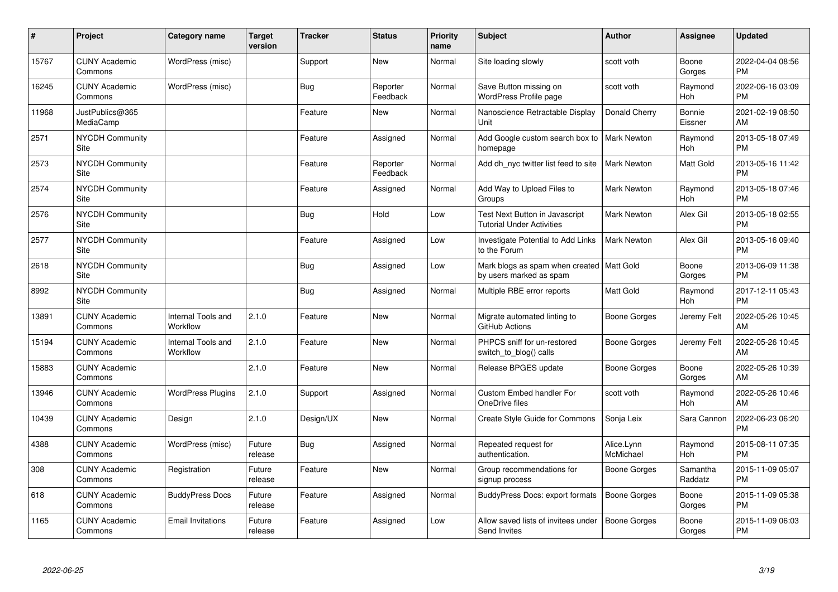| $\pmb{\#}$ | Project                         | <b>Category name</b>           | <b>Target</b><br>version | <b>Tracker</b> | <b>Status</b>        | <b>Priority</b><br>name | <b>Subject</b>                                                         | <b>Author</b>           | <b>Assignee</b>       | <b>Updated</b>                |
|------------|---------------------------------|--------------------------------|--------------------------|----------------|----------------------|-------------------------|------------------------------------------------------------------------|-------------------------|-----------------------|-------------------------------|
| 15767      | <b>CUNY Academic</b><br>Commons | WordPress (misc)               |                          | Support        | <b>New</b>           | Normal                  | Site loading slowly                                                    | scott voth              | Boone<br>Gorges       | 2022-04-04 08:56<br><b>PM</b> |
| 16245      | <b>CUNY Academic</b><br>Commons | WordPress (misc)               |                          | Bug            | Reporter<br>Feedback | Normal                  | Save Button missing on<br><b>WordPress Profile page</b>                | scott voth              | Raymond<br>Hoh        | 2022-06-16 03:09<br><b>PM</b> |
| 11968      | JustPublics@365<br>MediaCamp    |                                |                          | Feature        | New                  | Normal                  | Nanoscience Retractable Display<br>Unit                                | Donald Cherry           | Bonnie<br>Eissner     | 2021-02-19 08:50<br>AM        |
| 2571       | NYCDH Community<br>Site         |                                |                          | Feature        | Assigned             | Normal                  | Add Google custom search box to<br>homepage                            | <b>Mark Newton</b>      | Raymond<br><b>Hoh</b> | 2013-05-18 07:49<br><b>PM</b> |
| 2573       | <b>NYCDH Community</b><br>Site  |                                |                          | Feature        | Reporter<br>Feedback | Normal                  | Add dh_nyc twitter list feed to site                                   | <b>Mark Newton</b>      | <b>Matt Gold</b>      | 2013-05-16 11:42<br><b>PM</b> |
| 2574       | <b>NYCDH Community</b><br>Site  |                                |                          | Feature        | Assigned             | Normal                  | Add Way to Upload Files to<br>Groups                                   | <b>Mark Newton</b>      | Raymond<br>Hoh        | 2013-05-18 07:46<br><b>PM</b> |
| 2576       | <b>NYCDH Community</b><br>Site  |                                |                          | Bug            | Hold                 | Low                     | Test Next Button in Javascript<br><b>Tutorial Under Activities</b>     | Mark Newton             | Alex Gil              | 2013-05-18 02:55<br><b>PM</b> |
| 2577       | <b>NYCDH Community</b><br>Site  |                                |                          | Feature        | Assigned             | Low                     | Investigate Potential to Add Links<br>to the Forum                     | <b>Mark Newton</b>      | Alex Gil              | 2013-05-16 09:40<br><b>PM</b> |
| 2618       | <b>NYCDH Community</b><br>Site  |                                |                          | Bug            | Assigned             | Low                     | Mark blogs as spam when created   Matt Gold<br>by users marked as spam |                         | Boone<br>Gorges       | 2013-06-09 11:38<br><b>PM</b> |
| 8992       | <b>NYCDH Community</b><br>Site  |                                |                          | <b>Bug</b>     | Assigned             | Normal                  | Multiple RBE error reports                                             | Matt Gold               | Raymond<br>Hoh        | 2017-12-11 05:43<br><b>PM</b> |
| 13891      | <b>CUNY Academic</b><br>Commons | Internal Tools and<br>Workflow | 2.1.0                    | Feature        | New                  | Normal                  | Migrate automated linting to<br>GitHub Actions                         | Boone Gorges            | Jeremy Felt           | 2022-05-26 10:45<br>AM        |
| 15194      | <b>CUNY Academic</b><br>Commons | Internal Tools and<br>Workflow | 2.1.0                    | Feature        | New                  | Normal                  | PHPCS sniff for un-restored<br>switch_to_blog() calls                  | Boone Gorges            | Jeremy Felt           | 2022-05-26 10:45<br>AM        |
| 15883      | <b>CUNY Academic</b><br>Commons |                                | 2.1.0                    | Feature        | New                  | Normal                  | Release BPGES update                                                   | Boone Gorges            | Boone<br>Gorges       | 2022-05-26 10:39<br>AM        |
| 13946      | <b>CUNY Academic</b><br>Commons | <b>WordPress Plugins</b>       | 2.1.0                    | Support        | Assigned             | Normal                  | <b>Custom Embed handler For</b><br>OneDrive files                      | scott voth              | Raymond<br>Hoh        | 2022-05-26 10:46<br>AM        |
| 10439      | <b>CUNY Academic</b><br>Commons | Design                         | 2.1.0                    | Design/UX      | New                  | Normal                  | <b>Create Style Guide for Commons</b>                                  | Sonja Leix              | Sara Cannon           | 2022-06-23 06:20<br><b>PM</b> |
| 4388       | <b>CUNY Academic</b><br>Commons | WordPress (misc)               | Future<br>release        | Bug            | Assigned             | Normal                  | Repeated request for<br>authentication.                                | Alice.Lynn<br>McMichael | Raymond<br>Hoh        | 2015-08-11 07:35<br><b>PM</b> |
| 308        | <b>CUNY Academic</b><br>Commons | Registration                   | Future<br>release        | Feature        | New                  | Normal                  | Group recommendations for<br>signup process                            | Boone Gorges            | Samantha<br>Raddatz   | 2015-11-09 05:07<br><b>PM</b> |
| 618        | <b>CUNY Academic</b><br>Commons | <b>BuddyPress Docs</b>         | Future<br>release        | Feature        | Assigned             | Normal                  | BuddyPress Docs: export formats                                        | Boone Gorges            | Boone<br>Gorges       | 2015-11-09 05:38<br><b>PM</b> |
| 1165       | <b>CUNY Academic</b><br>Commons | <b>Email Invitations</b>       | Future<br>release        | Feature        | Assigned             | Low                     | Allow saved lists of invitees under<br>Send Invites                    | <b>Boone Gorges</b>     | Boone<br>Gorges       | 2015-11-09 06:03<br>PM        |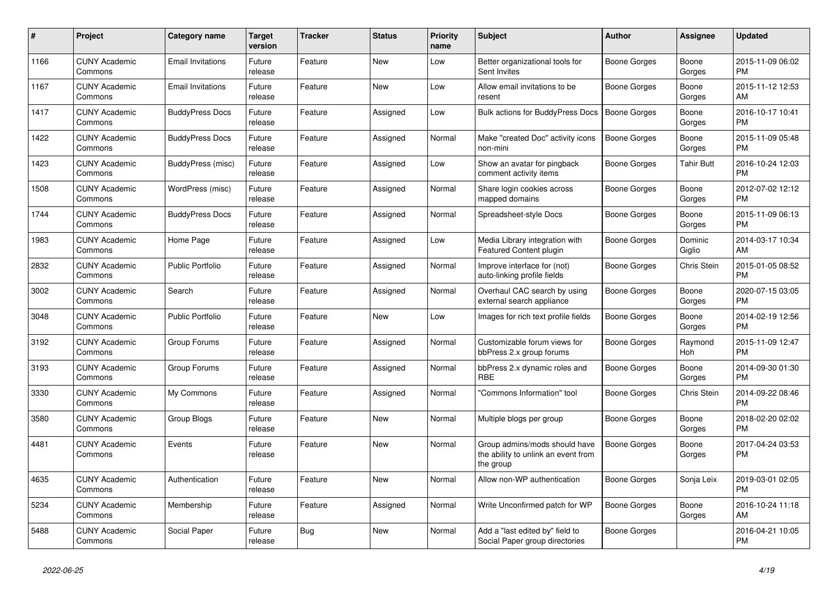| $\#$ | Project                         | Category name            | <b>Target</b><br>version | <b>Tracker</b> | <b>Status</b> | <b>Priority</b><br>name | <b>Subject</b>                                                                    | Author              | <b>Assignee</b>   | <b>Updated</b>                |
|------|---------------------------------|--------------------------|--------------------------|----------------|---------------|-------------------------|-----------------------------------------------------------------------------------|---------------------|-------------------|-------------------------------|
| 1166 | <b>CUNY Academic</b><br>Commons | <b>Email Invitations</b> | Future<br>release        | Feature        | <b>New</b>    | Low                     | Better organizational tools for<br>Sent Invites                                   | Boone Gorges        | Boone<br>Gorges   | 2015-11-09 06:02<br><b>PM</b> |
| 1167 | <b>CUNY Academic</b><br>Commons | <b>Email Invitations</b> | Future<br>release        | Feature        | <b>New</b>    | Low                     | Allow email invitations to be<br>resent                                           | Boone Gorges        | Boone<br>Gorges   | 2015-11-12 12:53<br>AM        |
| 1417 | <b>CUNY Academic</b><br>Commons | <b>BuddyPress Docs</b>   | Future<br>release        | Feature        | Assigned      | Low                     | Bulk actions for BuddyPress Docs                                                  | <b>Boone Gorges</b> | Boone<br>Gorges   | 2016-10-17 10:41<br><b>PM</b> |
| 1422 | <b>CUNY Academic</b><br>Commons | <b>BuddyPress Docs</b>   | Future<br>release        | Feature        | Assigned      | Normal                  | Make "created Doc" activity icons<br>non-mini                                     | Boone Gorges        | Boone<br>Gorges   | 2015-11-09 05:48<br><b>PM</b> |
| 1423 | <b>CUNY Academic</b><br>Commons | BuddyPress (misc)        | Future<br>release        | Feature        | Assigned      | Low                     | Show an avatar for pingback<br>comment activity items                             | Boone Gorges        | <b>Tahir Butt</b> | 2016-10-24 12:03<br><b>PM</b> |
| 1508 | <b>CUNY Academic</b><br>Commons | WordPress (misc)         | Future<br>release        | Feature        | Assigned      | Normal                  | Share login cookies across<br>mapped domains                                      | <b>Boone Gorges</b> | Boone<br>Gorges   | 2012-07-02 12:12<br><b>PM</b> |
| 1744 | <b>CUNY Academic</b><br>Commons | <b>BuddyPress Docs</b>   | Future<br>release        | Feature        | Assigned      | Normal                  | Spreadsheet-style Docs                                                            | Boone Gorges        | Boone<br>Gorges   | 2015-11-09 06:13<br><b>PM</b> |
| 1983 | <b>CUNY Academic</b><br>Commons | Home Page                | Future<br>release        | Feature        | Assigned      | Low                     | Media Library integration with<br><b>Featured Content plugin</b>                  | Boone Gorges        | Dominic<br>Giglio | 2014-03-17 10:34<br>AM        |
| 2832 | <b>CUNY Academic</b><br>Commons | <b>Public Portfolio</b>  | Future<br>release        | Feature        | Assigned      | Normal                  | Improve interface for (not)<br>auto-linking profile fields                        | Boone Gorges        | Chris Stein       | 2015-01-05 08:52<br><b>PM</b> |
| 3002 | <b>CUNY Academic</b><br>Commons | Search                   | Future<br>release        | Feature        | Assigned      | Normal                  | Overhaul CAC search by using<br>external search appliance                         | Boone Gorges        | Boone<br>Gorges   | 2020-07-15 03:05<br><b>PM</b> |
| 3048 | <b>CUNY Academic</b><br>Commons | <b>Public Portfolio</b>  | Future<br>release        | Feature        | <b>New</b>    | Low                     | Images for rich text profile fields                                               | Boone Gorges        | Boone<br>Gorges   | 2014-02-19 12:56<br><b>PM</b> |
| 3192 | <b>CUNY Academic</b><br>Commons | Group Forums             | Future<br>release        | Feature        | Assigned      | Normal                  | Customizable forum views for<br>bbPress 2.x group forums                          | Boone Gorges        | Raymond<br>Hoh    | 2015-11-09 12:47<br><b>PM</b> |
| 3193 | <b>CUNY Academic</b><br>Commons | Group Forums             | Future<br>release        | Feature        | Assigned      | Normal                  | bbPress 2.x dynamic roles and<br><b>RBE</b>                                       | Boone Gorges        | Boone<br>Gorges   | 2014-09-30 01:30<br><b>PM</b> |
| 3330 | <b>CUNY Academic</b><br>Commons | My Commons               | Future<br>release        | Feature        | Assigned      | Normal                  | 'Commons Information" tool                                                        | Boone Gorges        | Chris Stein       | 2014-09-22 08:46<br><b>PM</b> |
| 3580 | <b>CUNY Academic</b><br>Commons | Group Blogs              | Future<br>release        | Feature        | <b>New</b>    | Normal                  | Multiple blogs per group                                                          | Boone Gorges        | Boone<br>Gorges   | 2018-02-20 02:02<br><b>PM</b> |
| 4481 | <b>CUNY Academic</b><br>Commons | Events                   | Future<br>release        | Feature        | <b>New</b>    | Normal                  | Group admins/mods should have<br>the ability to unlink an event from<br>the group | Boone Gorges        | Boone<br>Gorges   | 2017-04-24 03:53<br><b>PM</b> |
| 4635 | <b>CUNY Academic</b><br>Commons | Authentication           | Future<br>release        | Feature        | <b>New</b>    | Normal                  | Allow non-WP authentication                                                       | Boone Gorges        | Sonja Leix        | 2019-03-01 02:05<br><b>PM</b> |
| 5234 | <b>CUNY Academic</b><br>Commons | Membership               | Future<br>release        | Feature        | Assigned      | Normal                  | Write Unconfirmed patch for WP                                                    | Boone Gorges        | Boone<br>Gorges   | 2016-10-24 11:18<br>AM        |
| 5488 | <b>CUNY Academic</b><br>Commons | Social Paper             | Future<br>release        | <b>Bug</b>     | <b>New</b>    | Normal                  | Add a "last edited by" field to<br>Social Paper group directories                 | Boone Gorges        |                   | 2016-04-21 10:05<br><b>PM</b> |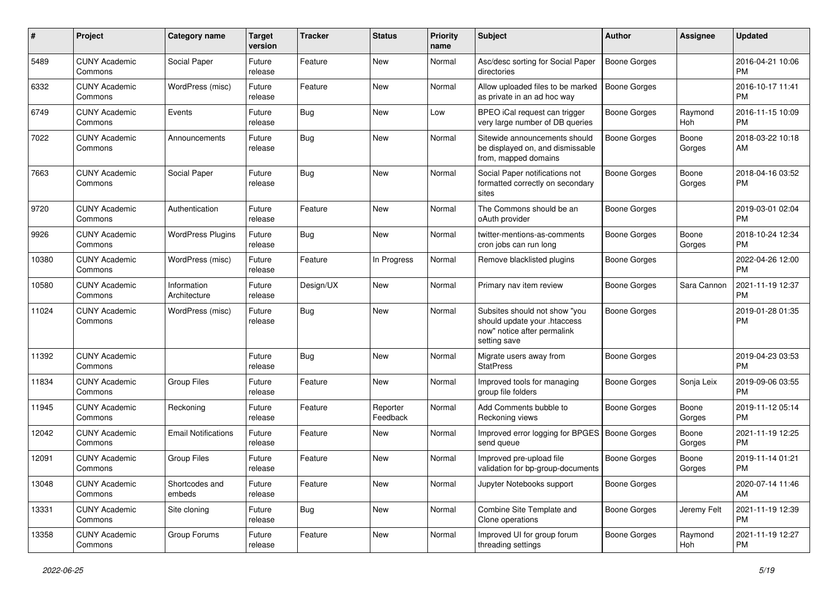| $\#$  | Project                         | <b>Category name</b>        | <b>Target</b><br>version | <b>Tracker</b> | <b>Status</b>        | <b>Priority</b><br>name | Subject                                                                                                      | Author              | <b>Assignee</b> | <b>Updated</b>                |
|-------|---------------------------------|-----------------------------|--------------------------|----------------|----------------------|-------------------------|--------------------------------------------------------------------------------------------------------------|---------------------|-----------------|-------------------------------|
| 5489  | <b>CUNY Academic</b><br>Commons | Social Paper                | Future<br>release        | Feature        | <b>New</b>           | Normal                  | Asc/desc sorting for Social Paper<br>directories                                                             | <b>Boone Gorges</b> |                 | 2016-04-21 10:06<br><b>PM</b> |
| 6332  | <b>CUNY Academic</b><br>Commons | WordPress (misc)            | Future<br>release        | Feature        | New                  | Normal                  | Allow uploaded files to be marked<br>as private in an ad hoc way                                             | <b>Boone Gorges</b> |                 | 2016-10-17 11:41<br>PM        |
| 6749  | <b>CUNY Academic</b><br>Commons | Events                      | Future<br>release        | <b>Bug</b>     | New                  | Low                     | BPEO iCal request can trigger<br>very large number of DB queries                                             | Boone Gorges        | Raymond<br>Hoh  | 2016-11-15 10:09<br>РM        |
| 7022  | <b>CUNY Academic</b><br>Commons | Announcements               | Future<br>release        | <b>Bug</b>     | New                  | Normal                  | Sitewide announcements should<br>be displayed on, and dismissable<br>from, mapped domains                    | <b>Boone Gorges</b> | Boone<br>Gorges | 2018-03-22 10:18<br>AM        |
| 7663  | <b>CUNY Academic</b><br>Commons | Social Paper                | Future<br>release        | <b>Bug</b>     | New                  | Normal                  | Social Paper notifications not<br>formatted correctly on secondary<br>sites                                  | Boone Gorges        | Boone<br>Gorges | 2018-04-16 03:52<br>PM        |
| 9720  | <b>CUNY Academic</b><br>Commons | Authentication              | Future<br>release        | Feature        | New                  | Normal                  | The Commons should be an<br>oAuth provider                                                                   | <b>Boone Gorges</b> |                 | 2019-03-01 02:04<br><b>PM</b> |
| 9926  | <b>CUNY Academic</b><br>Commons | <b>WordPress Plugins</b>    | Future<br>release        | Bug            | New                  | Normal                  | twitter-mentions-as-comments<br>cron jobs can run long                                                       | Boone Gorges        | Boone<br>Gorges | 2018-10-24 12:34<br>PM        |
| 10380 | <b>CUNY Academic</b><br>Commons | WordPress (misc)            | Future<br>release        | Feature        | In Progress          | Normal                  | Remove blacklisted plugins                                                                                   | <b>Boone Gorges</b> |                 | 2022-04-26 12:00<br><b>PM</b> |
| 10580 | <b>CUNY Academic</b><br>Commons | Information<br>Architecture | Future<br>release        | Design/UX      | New                  | Normal                  | Primary nav item review                                                                                      | <b>Boone Gorges</b> | Sara Cannon     | 2021-11-19 12:37<br>PМ        |
| 11024 | <b>CUNY Academic</b><br>Commons | WordPress (misc)            | Future<br>release        | <b>Bug</b>     | New                  | Normal                  | Subsites should not show "you<br>should update your .htaccess<br>now" notice after permalink<br>setting save | <b>Boone Gorges</b> |                 | 2019-01-28 01:35<br><b>PM</b> |
| 11392 | <b>CUNY Academic</b><br>Commons |                             | Future<br>release        | <b>Bug</b>     | New                  | Normal                  | Migrate users away from<br><b>StatPress</b>                                                                  | <b>Boone Gorges</b> |                 | 2019-04-23 03:53<br><b>PM</b> |
| 11834 | <b>CUNY Academic</b><br>Commons | Group Files                 | Future<br>release        | Feature        | New                  | Normal                  | Improved tools for managing<br>group file folders                                                            | <b>Boone Gorges</b> | Sonja Leix      | 2019-09-06 03:55<br><b>PM</b> |
| 11945 | <b>CUNY Academic</b><br>Commons | Reckoning                   | Future<br>release        | Feature        | Reporter<br>Feedback | Normal                  | Add Comments bubble to<br>Reckoning views                                                                    | Boone Gorges        | Boone<br>Gorges | 2019-11-12 05:14<br><b>PM</b> |
| 12042 | <b>CUNY Academic</b><br>Commons | <b>Email Notifications</b>  | Future<br>release        | Feature        | New                  | Normal                  | Improved error logging for BPGES   Boone Gorges<br>send queue                                                |                     | Boone<br>Gorges | 2021-11-19 12:25<br><b>PM</b> |
| 12091 | <b>CUNY Academic</b><br>Commons | <b>Group Files</b>          | Future<br>release        | Feature        | New                  | Normal                  | Improved pre-upload file<br>validation for bp-group-documents                                                | Boone Gorges        | Boone<br>Gorges | 2019-11-14 01:21<br><b>PM</b> |
| 13048 | <b>CUNY Academic</b><br>Commons | Shortcodes and<br>embeds    | Future<br>release        | Feature        | New                  | Normal                  | Jupyter Notebooks support                                                                                    | <b>Boone Gorges</b> |                 | 2020-07-14 11:46<br>AM        |
| 13331 | <b>CUNY Academic</b><br>Commons | Site cloning                | Future<br>release        | Bug            | New                  | Normal                  | Combine Site Template and<br>Clone operations                                                                | Boone Gorges        | Jeremy Felt     | 2021-11-19 12:39<br>PM        |
| 13358 | <b>CUNY Academic</b><br>Commons | Group Forums                | Future<br>release        | Feature        | New                  | Normal                  | Improved UI for group forum<br>threading settings                                                            | Boone Gorges        | Raymond<br>Hoh  | 2021-11-19 12:27<br>PM        |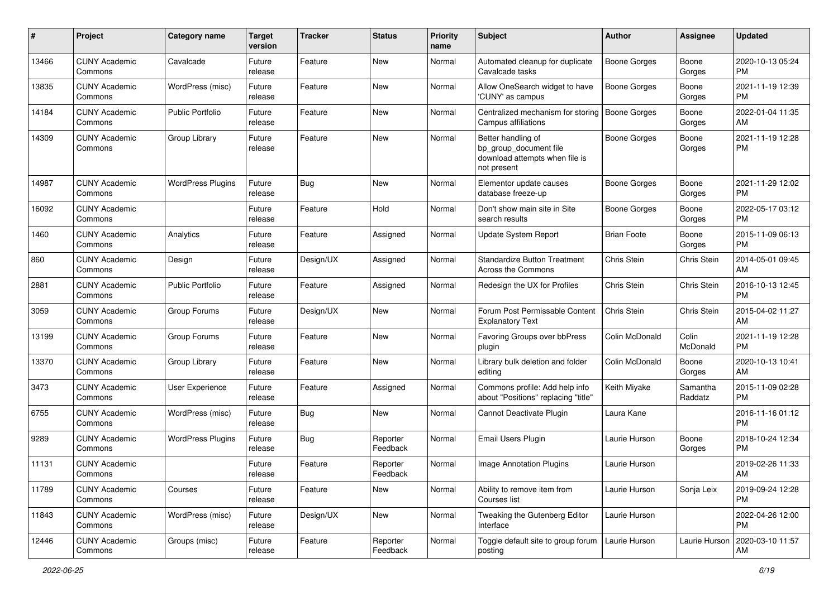| #     | Project                         | <b>Category name</b>     | <b>Target</b><br>version | <b>Tracker</b> | <b>Status</b>        | <b>Priority</b><br>name | <b>Subject</b>                                                                                | Author              | Assignee            | <b>Updated</b>                |
|-------|---------------------------------|--------------------------|--------------------------|----------------|----------------------|-------------------------|-----------------------------------------------------------------------------------------------|---------------------|---------------------|-------------------------------|
| 13466 | <b>CUNY Academic</b><br>Commons | Cavalcade                | Future<br>release        | Feature        | <b>New</b>           | Normal                  | Automated cleanup for duplicate<br>Cavalcade tasks                                            | <b>Boone Gorges</b> | Boone<br>Gorges     | 2020-10-13 05:24<br><b>PM</b> |
| 13835 | <b>CUNY Academic</b><br>Commons | WordPress (misc)         | Future<br>release        | Feature        | <b>New</b>           | Normal                  | Allow OneSearch widget to have<br>'CUNY' as campus                                            | <b>Boone Gorges</b> | Boone<br>Gorges     | 2021-11-19 12:39<br><b>PM</b> |
| 14184 | <b>CUNY Academic</b><br>Commons | <b>Public Portfolio</b>  | Future<br>release        | Feature        | <b>New</b>           | Normal                  | Centralized mechanism for storing<br>Campus affiliations                                      | <b>Boone Gorges</b> | Boone<br>Gorges     | 2022-01-04 11:35<br>AM        |
| 14309 | <b>CUNY Academic</b><br>Commons | Group Library            | Future<br>release        | Feature        | <b>New</b>           | Normal                  | Better handling of<br>bp_group_document file<br>download attempts when file is<br>not present | Boone Gorges        | Boone<br>Gorges     | 2021-11-19 12:28<br><b>PM</b> |
| 14987 | <b>CUNY Academic</b><br>Commons | <b>WordPress Plugins</b> | Future<br>release        | Bug            | <b>New</b>           | Normal                  | Elementor update causes<br>database freeze-up                                                 | <b>Boone Gorges</b> | Boone<br>Gorges     | 2021-11-29 12:02<br><b>PM</b> |
| 16092 | <b>CUNY Academic</b><br>Commons |                          | Future<br>release        | Feature        | Hold                 | Normal                  | Don't show main site in Site<br>search results                                                | Boone Gorges        | Boone<br>Gorges     | 2022-05-17 03:12<br><b>PM</b> |
| 1460  | <b>CUNY Academic</b><br>Commons | Analytics                | Future<br>release        | Feature        | Assigned             | Normal                  | <b>Update System Report</b>                                                                   | <b>Brian Foote</b>  | Boone<br>Gorges     | 2015-11-09 06:13<br><b>PM</b> |
| 860   | <b>CUNY Academic</b><br>Commons | Design                   | Future<br>release        | Design/UX      | Assigned             | Normal                  | <b>Standardize Button Treatment</b><br><b>Across the Commons</b>                              | Chris Stein         | Chris Stein         | 2014-05-01 09:45<br>AM        |
| 2881  | <b>CUNY Academic</b><br>Commons | <b>Public Portfolio</b>  | Future<br>release        | Feature        | Assigned             | Normal                  | Redesign the UX for Profiles                                                                  | <b>Chris Stein</b>  | Chris Stein         | 2016-10-13 12:45<br><b>PM</b> |
| 3059  | <b>CUNY Academic</b><br>Commons | Group Forums             | Future<br>release        | Design/UX      | <b>New</b>           | Normal                  | Forum Post Permissable Content<br><b>Explanatory Text</b>                                     | <b>Chris Stein</b>  | Chris Stein         | 2015-04-02 11:27<br>AM        |
| 13199 | <b>CUNY Academic</b><br>Commons | Group Forums             | Future<br>release        | Feature        | <b>New</b>           | Normal                  | Favoring Groups over bbPress<br>plugin                                                        | Colin McDonald      | Colin<br>McDonald   | 2021-11-19 12:28<br><b>PM</b> |
| 13370 | <b>CUNY Academic</b><br>Commons | Group Library            | Future<br>release        | Feature        | <b>New</b>           | Normal                  | Library bulk deletion and folder<br>editing                                                   | Colin McDonald      | Boone<br>Gorges     | 2020-10-13 10:41<br>AM        |
| 3473  | <b>CUNY Academic</b><br>Commons | User Experience          | Future<br>release        | Feature        | Assigned             | Normal                  | Commons profile: Add help info<br>about "Positions" replacing "title"                         | Keith Miyake        | Samantha<br>Raddatz | 2015-11-09 02:28<br><b>PM</b> |
| 6755  | <b>CUNY Academic</b><br>Commons | WordPress (misc)         | Future<br>release        | Bug            | <b>New</b>           | Normal                  | Cannot Deactivate Plugin                                                                      | Laura Kane          |                     | 2016-11-16 01:12<br><b>PM</b> |
| 9289  | <b>CUNY Academic</b><br>Commons | <b>WordPress Plugins</b> | Future<br>release        | Bug            | Reporter<br>Feedback | Normal                  | Email Users Plugin                                                                            | Laurie Hurson       | Boone<br>Gorges     | 2018-10-24 12:34<br><b>PM</b> |
| 11131 | <b>CUNY Academic</b><br>Commons |                          | Future<br>release        | Feature        | Reporter<br>Feedback | Normal                  | <b>Image Annotation Plugins</b>                                                               | Laurie Hurson       |                     | 2019-02-26 11:33<br>AM        |
| 11789 | <b>CUNY Academic</b><br>Commons | Courses                  | Future<br>release        | Feature        | New                  | Normal                  | Ability to remove item from<br>Courses list                                                   | Laurie Hurson       | Sonja Leix          | 2019-09-24 12:28<br><b>PM</b> |
| 11843 | <b>CUNY Academic</b><br>Commons | WordPress (misc)         | Future<br>release        | Design/UX      | New                  | Normal                  | Tweaking the Gutenberg Editor<br>Interface                                                    | Laurie Hurson       |                     | 2022-04-26 12:00<br>PM        |
| 12446 | <b>CUNY Academic</b><br>Commons | Groups (misc)            | Future<br>release        | Feature        | Reporter<br>Feedback | Normal                  | Toggle default site to group forum<br>posting                                                 | Laurie Hurson       | Laurie Hurson       | 2020-03-10 11:57<br>AM        |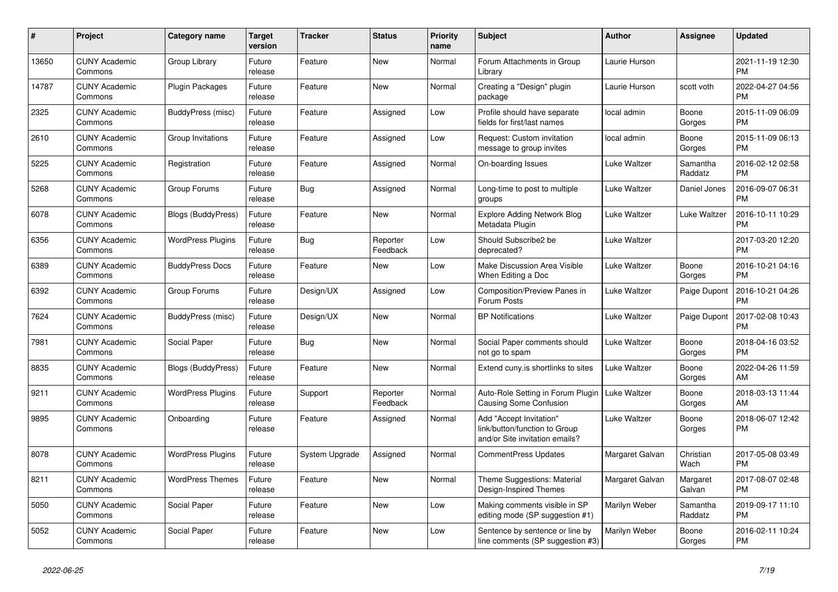| $\pmb{\#}$ | <b>Project</b>                  | Category name             | <b>Target</b><br>version | <b>Tracker</b> | <b>Status</b>        | <b>Priority</b><br>name | <b>Subject</b>                                                                             | <b>Author</b>   | <b>Assignee</b>     | <b>Updated</b>                |
|------------|---------------------------------|---------------------------|--------------------------|----------------|----------------------|-------------------------|--------------------------------------------------------------------------------------------|-----------------|---------------------|-------------------------------|
| 13650      | <b>CUNY Academic</b><br>Commons | Group Library             | Future<br>release        | Feature        | <b>New</b>           | Normal                  | Forum Attachments in Group<br>Library                                                      | Laurie Hurson   |                     | 2021-11-19 12:30<br><b>PM</b> |
| 14787      | <b>CUNY Academic</b><br>Commons | <b>Plugin Packages</b>    | Future<br>release        | Feature        | <b>New</b>           | Normal                  | Creating a "Design" plugin<br>package                                                      | Laurie Hurson   | scott voth          | 2022-04-27 04:56<br><b>PM</b> |
| 2325       | <b>CUNY Academic</b><br>Commons | BuddyPress (misc)         | Future<br>release        | Feature        | Assigned             | Low                     | Profile should have separate<br>fields for first/last names                                | local admin     | Boone<br>Gorges     | 2015-11-09 06:09<br><b>PM</b> |
| 2610       | <b>CUNY Academic</b><br>Commons | Group Invitations         | Future<br>release        | Feature        | Assigned             | Low                     | Request: Custom invitation<br>message to group invites                                     | local admin     | Boone<br>Gorges     | 2015-11-09 06:13<br><b>PM</b> |
| 5225       | <b>CUNY Academic</b><br>Commons | Registration              | Future<br>release        | Feature        | Assigned             | Normal                  | On-boarding Issues                                                                         | Luke Waltzer    | Samantha<br>Raddatz | 2016-02-12 02:58<br><b>PM</b> |
| 5268       | <b>CUNY Academic</b><br>Commons | Group Forums              | Future<br>release        | <b>Bug</b>     | Assigned             | Normal                  | Long-time to post to multiple<br>groups                                                    | Luke Waltzer    | Daniel Jones        | 2016-09-07 06:31<br><b>PM</b> |
| 6078       | <b>CUNY Academic</b><br>Commons | <b>Blogs (BuddyPress)</b> | Future<br>release        | Feature        | <b>New</b>           | Normal                  | <b>Explore Adding Network Blog</b><br>Metadata Plugin                                      | Luke Waltzer    | Luke Waltzer        | 2016-10-11 10:29<br><b>PM</b> |
| 6356       | <b>CUNY Academic</b><br>Commons | <b>WordPress Plugins</b>  | Future<br>release        | Bug            | Reporter<br>Feedback | Low                     | Should Subscribe2 be<br>deprecated?                                                        | Luke Waltzer    |                     | 2017-03-20 12:20<br><b>PM</b> |
| 6389       | <b>CUNY Academic</b><br>Commons | <b>BuddyPress Docs</b>    | Future<br>release        | Feature        | <b>New</b>           | Low                     | Make Discussion Area Visible<br>When Editing a Doc                                         | Luke Waltzer    | Boone<br>Gorges     | 2016-10-21 04:16<br><b>PM</b> |
| 6392       | <b>CUNY Academic</b><br>Commons | Group Forums              | Future<br>release        | Design/UX      | Assigned             | Low                     | Composition/Preview Panes in<br>Forum Posts                                                | Luke Waltzer    | Paige Dupont        | 2016-10-21 04:26<br><b>PM</b> |
| 7624       | <b>CUNY Academic</b><br>Commons | BuddyPress (misc)         | Future<br>release        | Design/UX      | <b>New</b>           | Normal                  | <b>BP Notifications</b>                                                                    | Luke Waltzer    | Paige Dupont        | 2017-02-08 10:43<br><b>PM</b> |
| 7981       | <b>CUNY Academic</b><br>Commons | Social Paper              | Future<br>release        | <b>Bug</b>     | <b>New</b>           | Normal                  | Social Paper comments should<br>not go to spam                                             | Luke Waltzer    | Boone<br>Gorges     | 2018-04-16 03:52<br><b>PM</b> |
| 8835       | <b>CUNY Academic</b><br>Commons | Blogs (BuddyPress)        | Future<br>release        | Feature        | New                  | Normal                  | Extend cuny.is shortlinks to sites                                                         | Luke Waltzer    | Boone<br>Gorges     | 2022-04-26 11:59<br>AM        |
| 9211       | <b>CUNY Academic</b><br>Commons | <b>WordPress Plugins</b>  | Future<br>release        | Support        | Reporter<br>Feedback | Normal                  | Auto-Role Setting in Forum Plugin<br>Causing Some Confusion                                | Luke Waltzer    | Boone<br>Gorges     | 2018-03-13 11:44<br>AM        |
| 9895       | <b>CUNY Academic</b><br>Commons | Onboarding                | Future<br>release        | Feature        | Assigned             | Normal                  | Add "Accept Invitation"<br>link/button/function to Group<br>and/or Site invitation emails? | Luke Waltzer    | Boone<br>Gorges     | 2018-06-07 12:42<br><b>PM</b> |
| 8078       | <b>CUNY Academic</b><br>Commons | <b>WordPress Plugins</b>  | Future<br>release        | System Upgrade | Assigned             | Normal                  | CommentPress Updates                                                                       | Margaret Galvan | Christian<br>Wach   | 2017-05-08 03:49<br><b>PM</b> |
| 8211       | <b>CUNY Academic</b><br>Commons | <b>WordPress Themes</b>   | Future<br>release        | Feature        | <b>New</b>           | Normal                  | Theme Suggestions: Material<br>Design-Inspired Themes                                      | Margaret Galvan | Margaret<br>Galvan  | 2017-08-07 02:48<br><b>PM</b> |
| 5050       | <b>CUNY Academic</b><br>Commons | Social Paper              | Future<br>release        | Feature        | <b>New</b>           | Low                     | Making comments visible in SP<br>editing mode (SP suggestion #1)                           | Marilyn Weber   | Samantha<br>Raddatz | 2019-09-17 11:10<br><b>PM</b> |
| 5052       | <b>CUNY Academic</b><br>Commons | Social Paper              | Future<br>release        | Feature        | <b>New</b>           | Low                     | Sentence by sentence or line by<br>line comments (SP suggestion #3)                        | Marilyn Weber   | Boone<br>Gorges     | 2016-02-11 10:24<br><b>PM</b> |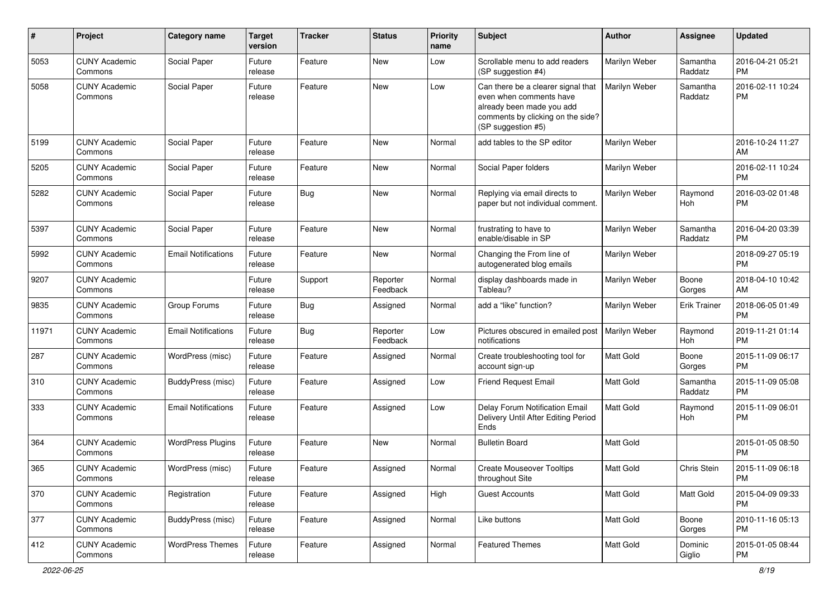| #     | Project                         | <b>Category name</b>       | <b>Target</b><br>version | <b>Tracker</b> | <b>Status</b>        | <b>Priority</b><br>name | <b>Subject</b>                                                                                                                                        | Author           | Assignee              | <b>Updated</b>                |
|-------|---------------------------------|----------------------------|--------------------------|----------------|----------------------|-------------------------|-------------------------------------------------------------------------------------------------------------------------------------------------------|------------------|-----------------------|-------------------------------|
| 5053  | <b>CUNY Academic</b><br>Commons | Social Paper               | Future<br>release        | Feature        | <b>New</b>           | Low                     | Scrollable menu to add readers<br>(SP suggestion #4)                                                                                                  | Marilyn Weber    | Samantha<br>Raddatz   | 2016-04-21 05:21<br><b>PM</b> |
| 5058  | <b>CUNY Academic</b><br>Commons | Social Paper               | Future<br>release        | Feature        | <b>New</b>           | Low                     | Can there be a clearer signal that<br>even when comments have<br>already been made you add<br>comments by clicking on the side?<br>(SP suggestion #5) | Marilyn Weber    | Samantha<br>Raddatz   | 2016-02-11 10:24<br><b>PM</b> |
| 5199  | <b>CUNY Academic</b><br>Commons | Social Paper               | Future<br>release        | Feature        | <b>New</b>           | Normal                  | add tables to the SP editor                                                                                                                           | Marilyn Weber    |                       | 2016-10-24 11:27<br>AM        |
| 5205  | <b>CUNY Academic</b><br>Commons | Social Paper               | Future<br>release        | Feature        | <b>New</b>           | Normal                  | Social Paper folders                                                                                                                                  | Marilyn Weber    |                       | 2016-02-11 10:24<br><b>PM</b> |
| 5282  | <b>CUNY Academic</b><br>Commons | Social Paper               | Future<br>release        | Bug            | <b>New</b>           | Normal                  | Replying via email directs to<br>paper but not individual comment.                                                                                    | Marilyn Weber    | Raymond<br>Hoh        | 2016-03-02 01:48<br><b>PM</b> |
| 5397  | <b>CUNY Academic</b><br>Commons | Social Paper               | Future<br>release        | Feature        | <b>New</b>           | Normal                  | frustrating to have to<br>enable/disable in SP                                                                                                        | Marilyn Weber    | Samantha<br>Raddatz   | 2016-04-20 03:39<br><b>PM</b> |
| 5992  | <b>CUNY Academic</b><br>Commons | <b>Email Notifications</b> | Future<br>release        | Feature        | <b>New</b>           | Normal                  | Changing the From line of<br>autogenerated blog emails                                                                                                | Marilyn Weber    |                       | 2018-09-27 05:19<br><b>PM</b> |
| 9207  | <b>CUNY Academic</b><br>Commons |                            | Future<br>release        | Support        | Reporter<br>Feedback | Normal                  | display dashboards made in<br>Tableau?                                                                                                                | Marilyn Weber    | Boone<br>Gorges       | 2018-04-10 10:42<br>AM        |
| 9835  | <b>CUNY Academic</b><br>Commons | Group Forums               | Future<br>release        | Bug            | Assigned             | Normal                  | add a "like" function?                                                                                                                                | Marilyn Weber    | <b>Erik Trainer</b>   | 2018-06-05 01:49<br><b>PM</b> |
| 11971 | <b>CUNY Academic</b><br>Commons | <b>Email Notifications</b> | Future<br>release        | Bug            | Reporter<br>Feedback | Low                     | Pictures obscured in emailed post  <br>notifications                                                                                                  | Marilyn Weber    | Raymond<br><b>Hoh</b> | 2019-11-21 01:14<br><b>PM</b> |
| 287   | <b>CUNY Academic</b><br>Commons | WordPress (misc)           | Future<br>release        | Feature        | Assigned             | Normal                  | Create troubleshooting tool for<br>account sign-up                                                                                                    | Matt Gold        | Boone<br>Gorges       | 2015-11-09 06:17<br><b>PM</b> |
| 310   | <b>CUNY Academic</b><br>Commons | BuddyPress (misc)          | Future<br>release        | Feature        | Assigned             | Low                     | <b>Friend Request Email</b>                                                                                                                           | Matt Gold        | Samantha<br>Raddatz   | 2015-11-09 05:08<br><b>PM</b> |
| 333   | <b>CUNY Academic</b><br>Commons | <b>Email Notifications</b> | Future<br>release        | Feature        | Assigned             | Low                     | Delay Forum Notification Email<br>Delivery Until After Editing Period<br><b>Ends</b>                                                                  | <b>Matt Gold</b> | Raymond<br>Hoh        | 2015-11-09 06:01<br><b>PM</b> |
| 364   | <b>CUNY Academic</b><br>Commons | <b>WordPress Plugins</b>   | Future<br>release        | Feature        | New                  | Normal                  | <b>Bulletin Board</b>                                                                                                                                 | <b>Matt Gold</b> |                       | 2015-01-05 08:50<br><b>PM</b> |
| 365   | <b>CUNY Academic</b><br>Commons | WordPress (misc)           | Future<br>release        | Feature        | Assigned             | Normal                  | <b>Create Mouseover Tooltips</b><br>throughout Site                                                                                                   | <b>Matt Gold</b> | Chris Stein           | 2015-11-09 06:18<br>PM        |
| 370   | <b>CUNY Academic</b><br>Commons | Registration               | Future<br>release        | Feature        | Assigned             | High                    | <b>Guest Accounts</b>                                                                                                                                 | Matt Gold        | Matt Gold             | 2015-04-09 09:33<br>PM        |
| 377   | <b>CUNY Academic</b><br>Commons | BuddyPress (misc)          | Future<br>release        | Feature        | Assigned             | Normal                  | Like buttons                                                                                                                                          | Matt Gold        | Boone<br>Gorges       | 2010-11-16 05:13<br><b>PM</b> |
| 412   | <b>CUNY Academic</b><br>Commons | <b>WordPress Themes</b>    | Future<br>release        | Feature        | Assigned             | Normal                  | <b>Featured Themes</b>                                                                                                                                | Matt Gold        | Dominic<br>Giglio     | 2015-01-05 08:44<br>PM        |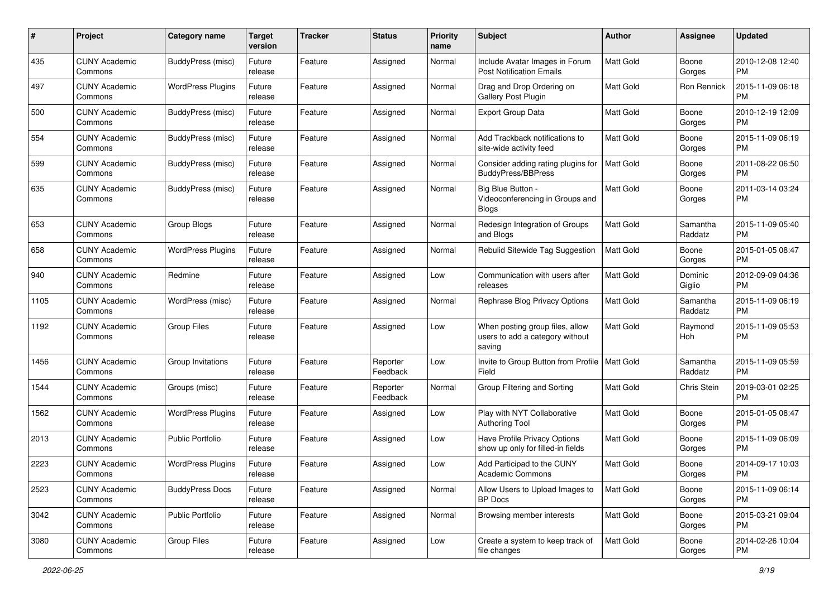| #    | Project                         | <b>Category name</b>     | <b>Target</b><br>version | <b>Tracker</b> | <b>Status</b>        | <b>Priority</b><br>name | Subject                                                                      | Author           | Assignee            | <b>Updated</b>                |
|------|---------------------------------|--------------------------|--------------------------|----------------|----------------------|-------------------------|------------------------------------------------------------------------------|------------------|---------------------|-------------------------------|
| 435  | <b>CUNY Academic</b><br>Commons | BuddyPress (misc)        | Future<br>release        | Feature        | Assigned             | Normal                  | Include Avatar Images in Forum<br><b>Post Notification Emails</b>            | <b>Matt Gold</b> | Boone<br>Gorges     | 2010-12-08 12:40<br><b>PM</b> |
| 497  | <b>CUNY Academic</b><br>Commons | <b>WordPress Plugins</b> | Future<br>release        | Feature        | Assigned             | Normal                  | Drag and Drop Ordering on<br>Gallery Post Plugin                             | Matt Gold        | Ron Rennick         | 2015-11-09 06:18<br><b>PM</b> |
| 500  | CUNY Academic<br>Commons        | BuddyPress (misc)        | Future<br>release        | Feature        | Assigned             | Normal                  | <b>Export Group Data</b>                                                     | <b>Matt Gold</b> | Boone<br>Gorges     | 2010-12-19 12:09<br><b>PM</b> |
| 554  | <b>CUNY Academic</b><br>Commons | BuddyPress (misc)        | Future<br>release        | Feature        | Assigned             | Normal                  | Add Trackback notifications to<br>site-wide activity feed                    | <b>Matt Gold</b> | Boone<br>Gorges     | 2015-11-09 06:19<br><b>PM</b> |
| 599  | CUNY Academic<br>Commons        | BuddyPress (misc)        | Future<br>release        | Feature        | Assigned             | Normal                  | Consider adding rating plugins for<br><b>BuddyPress/BBPress</b>              | <b>Matt Gold</b> | Boone<br>Gorges     | 2011-08-22 06:50<br><b>PM</b> |
| 635  | <b>CUNY Academic</b><br>Commons | BuddyPress (misc)        | Future<br>release        | Feature        | Assigned             | Normal                  | Big Blue Button -<br>Videoconferencing in Groups and<br><b>Blogs</b>         | <b>Matt Gold</b> | Boone<br>Gorges     | 2011-03-14 03:24<br><b>PM</b> |
| 653  | <b>CUNY Academic</b><br>Commons | Group Blogs              | Future<br>release        | Feature        | Assigned             | Normal                  | Redesign Integration of Groups<br>and Blogs                                  | Matt Gold        | Samantha<br>Raddatz | 2015-11-09 05:40<br><b>PM</b> |
| 658  | <b>CUNY Academic</b><br>Commons | <b>WordPress Plugins</b> | Future<br>release        | Feature        | Assigned             | Normal                  | Rebulid Sitewide Tag Suggestion                                              | <b>Matt Gold</b> | Boone<br>Gorges     | 2015-01-05 08:47<br><b>PM</b> |
| 940  | <b>CUNY Academic</b><br>Commons | Redmine                  | Future<br>release        | Feature        | Assigned             | Low                     | Communication with users after<br>releases                                   | <b>Matt Gold</b> | Dominic<br>Giglio   | 2012-09-09 04:36<br><b>PM</b> |
| 1105 | <b>CUNY Academic</b><br>Commons | WordPress (misc)         | Future<br>release        | Feature        | Assigned             | Normal                  | Rephrase Blog Privacy Options                                                | <b>Matt Gold</b> | Samantha<br>Raddatz | 2015-11-09 06:19<br><b>PM</b> |
| 1192 | <b>CUNY Academic</b><br>Commons | <b>Group Files</b>       | Future<br>release        | Feature        | Assigned             | Low                     | When posting group files, allow<br>users to add a category without<br>saving | Matt Gold        | Raymond<br>Hoh      | 2015-11-09 05:53<br><b>PM</b> |
| 1456 | <b>CUNY Academic</b><br>Commons | Group Invitations        | Future<br>release        | Feature        | Reporter<br>Feedback | Low                     | Invite to Group Button from Profile  <br>Field                               | <b>Matt Gold</b> | Samantha<br>Raddatz | 2015-11-09 05:59<br><b>PM</b> |
| 1544 | <b>CUNY Academic</b><br>Commons | Groups (misc)            | Future<br>release        | Feature        | Reporter<br>Feedback | Normal                  | Group Filtering and Sorting                                                  | <b>Matt Gold</b> | Chris Stein         | 2019-03-01 02:25<br><b>PM</b> |
| 1562 | <b>CUNY Academic</b><br>Commons | <b>WordPress Plugins</b> | Future<br>release        | Feature        | Assigned             | Low                     | Play with NYT Collaborative<br><b>Authoring Tool</b>                         | Matt Gold        | Boone<br>Gorges     | 2015-01-05 08:47<br><b>PM</b> |
| 2013 | <b>CUNY Academic</b><br>Commons | <b>Public Portfolio</b>  | Future<br>release        | Feature        | Assigned             | Low                     | Have Profile Privacy Options<br>show up only for filled-in fields            | Matt Gold        | Boone<br>Gorges     | 2015-11-09 06:09<br><b>PM</b> |
| 2223 | <b>CUNY Academic</b><br>Commons | <b>WordPress Plugins</b> | Future<br>release        | Feature        | Assigned             | Low                     | Add Participad to the CUNY<br>Academic Commons                               | Matt Gold        | Boone<br>Gorges     | 2014-09-17 10:03<br>PM        |
| 2523 | <b>CUNY Academic</b><br>Commons | <b>BuddyPress Docs</b>   | Future<br>release        | Feature        | Assigned             | Normal                  | Allow Users to Upload Images to<br>BP Docs                                   | Matt Gold        | Boone<br>Gorges     | 2015-11-09 06:14<br><b>PM</b> |
| 3042 | <b>CUNY Academic</b><br>Commons | <b>Public Portfolio</b>  | Future<br>release        | Feature        | Assigned             | Normal                  | Browsing member interests                                                    | Matt Gold        | Boone<br>Gorges     | 2015-03-21 09:04<br><b>PM</b> |
| 3080 | <b>CUNY Academic</b><br>Commons | Group Files              | Future<br>release        | Feature        | Assigned             | Low                     | Create a system to keep track of<br>file changes                             | Matt Gold        | Boone<br>Gorges     | 2014-02-26 10:04<br>PM        |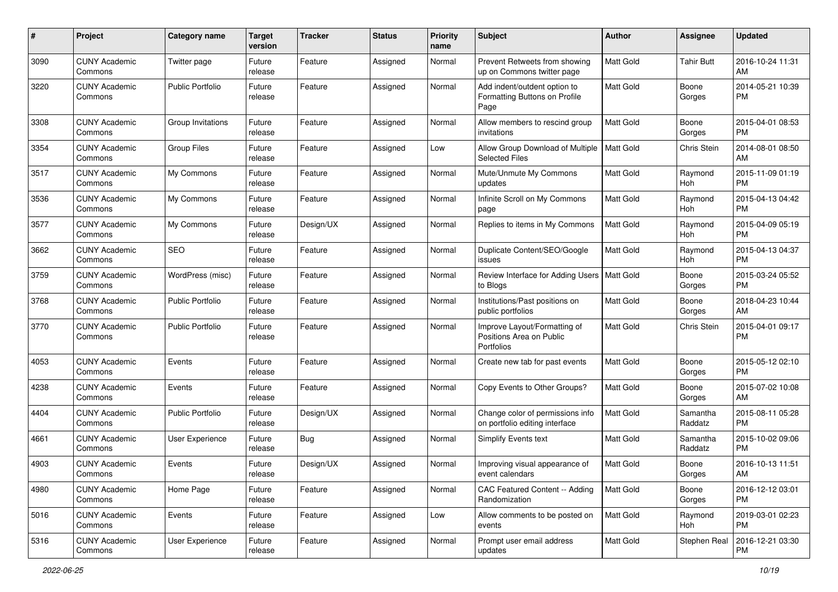| #    | Project                         | <b>Category name</b>    | <b>Target</b><br>version | <b>Tracker</b> | <b>Status</b> | <b>Priority</b><br>name | <b>Subject</b>                                                         | Author           | Assignee            | <b>Updated</b>                |
|------|---------------------------------|-------------------------|--------------------------|----------------|---------------|-------------------------|------------------------------------------------------------------------|------------------|---------------------|-------------------------------|
| 3090 | <b>CUNY Academic</b><br>Commons | Twitter page            | Future<br>release        | Feature        | Assigned      | Normal                  | Prevent Retweets from showing<br>up on Commons twitter page            | <b>Matt Gold</b> | <b>Tahir Butt</b>   | 2016-10-24 11:31<br>AM        |
| 3220 | <b>CUNY Academic</b><br>Commons | <b>Public Portfolio</b> | Future<br>release        | Feature        | Assigned      | Normal                  | Add indent/outdent option to<br>Formatting Buttons on Profile<br>Page  | Matt Gold        | Boone<br>Gorges     | 2014-05-21 10:39<br><b>PM</b> |
| 3308 | <b>CUNY Academic</b><br>Commons | Group Invitations       | Future<br>release        | Feature        | Assigned      | Normal                  | Allow members to rescind group<br>invitations                          | <b>Matt Gold</b> | Boone<br>Gorges     | 2015-04-01 08:53<br><b>PM</b> |
| 3354 | <b>CUNY Academic</b><br>Commons | <b>Group Files</b>      | Future<br>release        | Feature        | Assigned      | Low                     | Allow Group Download of Multiple<br><b>Selected Files</b>              | Matt Gold        | Chris Stein         | 2014-08-01 08:50<br>AM        |
| 3517 | <b>CUNY Academic</b><br>Commons | My Commons              | Future<br>release        | Feature        | Assigned      | Normal                  | Mute/Unmute My Commons<br>updates                                      | <b>Matt Gold</b> | Raymond<br>Hoh      | 2015-11-09 01:19<br><b>PM</b> |
| 3536 | <b>CUNY Academic</b><br>Commons | My Commons              | Future<br>release        | Feature        | Assigned      | Normal                  | Infinite Scroll on My Commons<br>page                                  | <b>Matt Gold</b> | Raymond<br>Hoh      | 2015-04-13 04:42<br><b>PM</b> |
| 3577 | <b>CUNY Academic</b><br>Commons | My Commons              | Future<br>release        | Design/UX      | Assigned      | Normal                  | Replies to items in My Commons                                         | Matt Gold        | Raymond<br>Hoh      | 2015-04-09 05:19<br><b>PM</b> |
| 3662 | <b>CUNY Academic</b><br>Commons | SEO                     | Future<br>release        | Feature        | Assigned      | Normal                  | Duplicate Content/SEO/Google<br>issues                                 | Matt Gold        | Raymond<br>Hoh      | 2015-04-13 04:37<br><b>PM</b> |
| 3759 | <b>CUNY Academic</b><br>Commons | WordPress (misc)        | Future<br>release        | Feature        | Assigned      | Normal                  | Review Interface for Adding Users<br>to Blogs                          | <b>Matt Gold</b> | Boone<br>Gorges     | 2015-03-24 05:52<br><b>PM</b> |
| 3768 | <b>CUNY Academic</b><br>Commons | <b>Public Portfolio</b> | Future<br>release        | Feature        | Assigned      | Normal                  | Institutions/Past positions on<br>public portfolios                    | Matt Gold        | Boone<br>Gorges     | 2018-04-23 10:44<br>AM        |
| 3770 | <b>CUNY Academic</b><br>Commons | <b>Public Portfolio</b> | Future<br>release        | Feature        | Assigned      | Normal                  | Improve Layout/Formatting of<br>Positions Area on Public<br>Portfolios | Matt Gold        | Chris Stein         | 2015-04-01 09:17<br><b>PM</b> |
| 4053 | <b>CUNY Academic</b><br>Commons | Events                  | Future<br>release        | Feature        | Assigned      | Normal                  | Create new tab for past events                                         | Matt Gold        | Boone<br>Gorges     | 2015-05-12 02:10<br><b>PM</b> |
| 4238 | <b>CUNY Academic</b><br>Commons | Events                  | Future<br>release        | Feature        | Assigned      | Normal                  | Copy Events to Other Groups?                                           | Matt Gold        | Boone<br>Gorges     | 2015-07-02 10:08<br>AM        |
| 4404 | <b>CUNY Academic</b><br>Commons | Public Portfolio        | Future<br>release        | Design/UX      | Assigned      | Normal                  | Change color of permissions info<br>on portfolio editing interface     | Matt Gold        | Samantha<br>Raddatz | 2015-08-11 05:28<br><b>PM</b> |
| 4661 | <b>CUNY Academic</b><br>Commons | User Experience         | Future<br>release        | Bug            | Assigned      | Normal                  | Simplify Events text                                                   | Matt Gold        | Samantha<br>Raddatz | 2015-10-02 09:06<br><b>PM</b> |
| 4903 | <b>CUNY Academic</b><br>Commons | Events                  | Future<br>release        | Design/UX      | Assigned      | Normal                  | Improving visual appearance of<br>event calendars                      | Matt Gold        | Boone<br>Gorges     | 2016-10-13 11:51<br>AM        |
| 4980 | <b>CUNY Academic</b><br>Commons | Home Page               | Future<br>release        | Feature        | Assigned      | Normal                  | CAC Featured Content -- Adding<br>Randomization                        | Matt Gold        | Boone<br>Gorges     | 2016-12-12 03:01<br><b>PM</b> |
| 5016 | <b>CUNY Academic</b><br>Commons | Events                  | Future<br>release        | Feature        | Assigned      | Low                     | Allow comments to be posted on<br>events                               | Matt Gold        | Raymond<br>Hoh      | 2019-03-01 02:23<br>PM        |
| 5316 | <b>CUNY Academic</b><br>Commons | User Experience         | Future<br>release        | Feature        | Assigned      | Normal                  | Prompt user email address<br>updates                                   | Matt Gold        | Stephen Real        | 2016-12-21 03:30<br>PM        |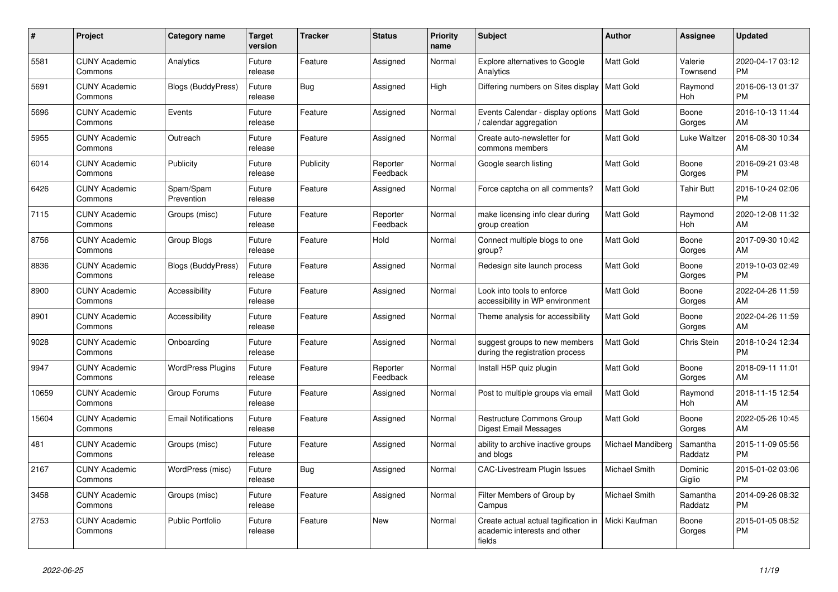| #     | <b>Project</b>                  | Category name              | <b>Target</b><br>version | <b>Tracker</b> | <b>Status</b>        | <b>Priority</b><br>name | <b>Subject</b>                                                                 | <b>Author</b>     | <b>Assignee</b>       | <b>Updated</b>                |
|-------|---------------------------------|----------------------------|--------------------------|----------------|----------------------|-------------------------|--------------------------------------------------------------------------------|-------------------|-----------------------|-------------------------------|
| 5581  | <b>CUNY Academic</b><br>Commons | Analytics                  | Future<br>release        | Feature        | Assigned             | Normal                  | <b>Explore alternatives to Google</b><br>Analytics                             | <b>Matt Gold</b>  | Valerie<br>Townsend   | 2020-04-17 03:12<br><b>PM</b> |
| 5691  | <b>CUNY Academic</b><br>Commons | <b>Blogs (BuddyPress)</b>  | Future<br>release        | Bug            | Assigned             | High                    | Differing numbers on Sites display                                             | Matt Gold         | Raymond<br>Hoh        | 2016-06-13 01:37<br><b>PM</b> |
| 5696  | <b>CUNY Academic</b><br>Commons | Events                     | Future<br>release        | Feature        | Assigned             | Normal                  | Events Calendar - display options<br>calendar aggregation                      | Matt Gold         | Boone<br>Gorges       | 2016-10-13 11:44<br>AM        |
| 5955  | <b>CUNY Academic</b><br>Commons | Outreach                   | Future<br>release        | Feature        | Assigned             | Normal                  | Create auto-newsletter for<br>commons members                                  | Matt Gold         | Luke Waltzer          | 2016-08-30 10:34<br>AM        |
| 6014  | <b>CUNY Academic</b><br>Commons | Publicity                  | Future<br>release        | Publicity      | Reporter<br>Feedback | Normal                  | Google search listing                                                          | <b>Matt Gold</b>  | Boone<br>Gorges       | 2016-09-21 03:48<br><b>PM</b> |
| 6426  | <b>CUNY Academic</b><br>Commons | Spam/Spam<br>Prevention    | Future<br>release        | Feature        | Assigned             | Normal                  | Force captcha on all comments?                                                 | Matt Gold         | Tahir Butt            | 2016-10-24 02:06<br><b>PM</b> |
| 7115  | <b>CUNY Academic</b><br>Commons | Groups (misc)              | Future<br>release        | Feature        | Reporter<br>Feedback | Normal                  | make licensing info clear during<br>group creation                             | <b>Matt Gold</b>  | Raymond<br><b>Hoh</b> | 2020-12-08 11:32<br>AM        |
| 8756  | <b>CUNY Academic</b><br>Commons | Group Blogs                | Future<br>release        | Feature        | Hold                 | Normal                  | Connect multiple blogs to one<br>group?                                        | <b>Matt Gold</b>  | Boone<br>Gorges       | 2017-09-30 10:42<br>AM        |
| 8836  | <b>CUNY Academic</b><br>Commons | <b>Blogs (BuddyPress)</b>  | Future<br>release        | Feature        | Assigned             | Normal                  | Redesign site launch process                                                   | <b>Matt Gold</b>  | Boone<br>Gorges       | 2019-10-03 02:49<br><b>PM</b> |
| 8900  | <b>CUNY Academic</b><br>Commons | Accessibility              | Future<br>release        | Feature        | Assigned             | Normal                  | Look into tools to enforce<br>accessibility in WP environment                  | Matt Gold         | Boone<br>Gorges       | 2022-04-26 11:59<br>AM        |
| 8901  | <b>CUNY Academic</b><br>Commons | Accessibility              | Future<br>release        | Feature        | Assigned             | Normal                  | Theme analysis for accessibility                                               | <b>Matt Gold</b>  | Boone<br>Gorges       | 2022-04-26 11:59<br>AM        |
| 9028  | <b>CUNY Academic</b><br>Commons | Onboarding                 | Future<br>release        | Feature        | Assigned             | Normal                  | suggest groups to new members<br>during the registration process               | Matt Gold         | Chris Stein           | 2018-10-24 12:34<br><b>PM</b> |
| 9947  | <b>CUNY Academic</b><br>Commons | <b>WordPress Plugins</b>   | Future<br>release        | Feature        | Reporter<br>Feedback | Normal                  | Install H5P quiz plugin                                                        | <b>Matt Gold</b>  | Boone<br>Gorges       | 2018-09-11 11:01<br>AM        |
| 10659 | <b>CUNY Academic</b><br>Commons | Group Forums               | Future<br>release        | Feature        | Assigned             | Normal                  | Post to multiple groups via email                                              | <b>Matt Gold</b>  | Raymond<br>Hoh        | 2018-11-15 12:54<br>AM        |
| 15604 | <b>CUNY Academic</b><br>Commons | <b>Email Notifications</b> | Future<br>release        | Feature        | Assigned             | Normal                  | Restructure Commons Group<br><b>Digest Email Messages</b>                      | <b>Matt Gold</b>  | Boone<br>Gorges       | 2022-05-26 10:45<br>AM        |
| 481   | <b>CUNY Academic</b><br>Commons | Groups (misc)              | Future<br>release        | Feature        | Assigned             | Normal                  | ability to archive inactive groups<br>and blogs                                | Michael Mandiberg | Samantha<br>Raddatz   | 2015-11-09 05:56<br><b>PM</b> |
| 2167  | <b>CUNY Academic</b><br>Commons | WordPress (misc)           | Future<br>release        | Bug            | Assigned             | Normal                  | <b>CAC-Livestream Plugin Issues</b>                                            | Michael Smith     | Dominic<br>Giglio     | 2015-01-02 03:06<br><b>PM</b> |
| 3458  | <b>CUNY Academic</b><br>Commons | Groups (misc)              | Future<br>release        | Feature        | Assigned             | Normal                  | Filter Members of Group by<br>Campus                                           | Michael Smith     | Samantha<br>Raddatz   | 2014-09-26 08:32<br><b>PM</b> |
| 2753  | <b>CUNY Academic</b><br>Commons | <b>Public Portfolio</b>    | Future<br>release        | Feature        | <b>New</b>           | Normal                  | Create actual actual tagification in<br>academic interests and other<br>fields | Micki Kaufman     | Boone<br>Gorges       | 2015-01-05 08:52<br><b>PM</b> |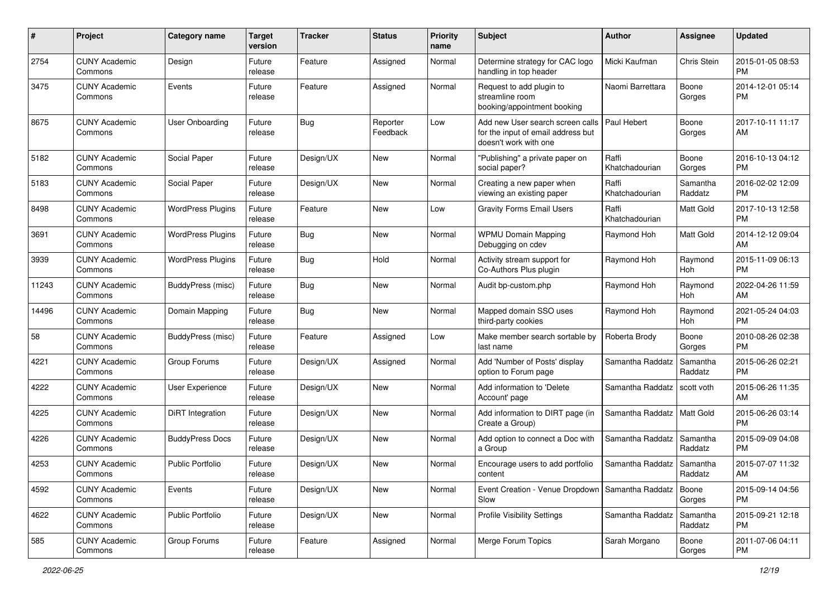| #     | Project                         | <b>Category name</b>     | <b>Target</b><br>version | <b>Tracker</b> | <b>Status</b>        | <b>Priority</b><br>name | Subject                                                                                         | Author                  | Assignee            | <b>Updated</b>                |
|-------|---------------------------------|--------------------------|--------------------------|----------------|----------------------|-------------------------|-------------------------------------------------------------------------------------------------|-------------------------|---------------------|-------------------------------|
| 2754  | <b>CUNY Academic</b><br>Commons | Design                   | Future<br>release        | Feature        | Assigned             | Normal                  | Determine strategy for CAC logo<br>handling in top header                                       | Micki Kaufman           | Chris Stein         | 2015-01-05 08:53<br><b>PM</b> |
| 3475  | <b>CUNY Academic</b><br>Commons | Events                   | Future<br>release        | Feature        | Assigned             | Normal                  | Request to add plugin to<br>streamline room<br>booking/appointment booking                      | Naomi Barrettara        | Boone<br>Gorges     | 2014-12-01 05:14<br><b>PM</b> |
| 8675  | <b>CUNY Academic</b><br>Commons | <b>User Onboarding</b>   | Future<br>release        | Bug            | Reporter<br>Feedback | Low                     | Add new User search screen calls<br>for the input of email address but<br>doesn't work with one | Paul Hebert             | Boone<br>Gorges     | 2017-10-11 11:17<br>AM        |
| 5182  | <b>CUNY Academic</b><br>Commons | Social Paper             | Future<br>release        | Design/UX      | <b>New</b>           | Normal                  | "Publishing" a private paper on<br>social paper?                                                | Raffi<br>Khatchadourian | Boone<br>Gorges     | 2016-10-13 04:12<br><b>PM</b> |
| 5183  | <b>CUNY Academic</b><br>Commons | Social Paper             | Future<br>release        | Design/UX      | <b>New</b>           | Normal                  | Creating a new paper when<br>viewing an existing paper                                          | Raffi<br>Khatchadourian | Samantha<br>Raddatz | 2016-02-02 12:09<br><b>PM</b> |
| 8498  | <b>CUNY Academic</b><br>Commons | <b>WordPress Plugins</b> | Future<br>release        | Feature        | New                  | Low                     | <b>Gravity Forms Email Users</b>                                                                | Raffi<br>Khatchadourian | Matt Gold           | 2017-10-13 12:58<br><b>PM</b> |
| 3691  | <b>CUNY Academic</b><br>Commons | <b>WordPress Plugins</b> | Future<br>release        | <b>Bug</b>     | <b>New</b>           | Normal                  | <b>WPMU Domain Mapping</b><br>Debugging on cdev                                                 | Raymond Hoh             | <b>Matt Gold</b>    | 2014-12-12 09:04<br>AM        |
| 3939  | <b>CUNY Academic</b><br>Commons | <b>WordPress Plugins</b> | Future<br>release        | Bug            | Hold                 | Normal                  | Activity stream support for<br>Co-Authors Plus plugin                                           | Raymond Hoh             | Raymond<br>Hoh      | 2015-11-09 06:13<br><b>PM</b> |
| 11243 | <b>CUNY Academic</b><br>Commons | BuddyPress (misc)        | Future<br>release        | Bug            | <b>New</b>           | Normal                  | Audit bp-custom.php                                                                             | Raymond Hoh             | Raymond<br>Hoh      | 2022-04-26 11:59<br>AM        |
| 14496 | <b>CUNY Academic</b><br>Commons | Domain Mapping           | Future<br>release        | <b>Bug</b>     | <b>New</b>           | Normal                  | Mapped domain SSO uses<br>third-party cookies                                                   | Raymond Hoh             | Raymond<br>Hoh      | 2021-05-24 04:03<br><b>PM</b> |
| 58    | <b>CUNY Academic</b><br>Commons | BuddyPress (misc)        | Future<br>release        | Feature        | Assigned             | Low                     | Make member search sortable by<br>last name                                                     | Roberta Brody           | Boone<br>Gorges     | 2010-08-26 02:38<br><b>PM</b> |
| 4221  | <b>CUNY Academic</b><br>Commons | Group Forums             | Future<br>release        | Design/UX      | Assigned             | Normal                  | Add 'Number of Posts' display<br>option to Forum page                                           | Samantha Raddatz        | Samantha<br>Raddatz | 2015-06-26 02:21<br><b>PM</b> |
| 4222  | <b>CUNY Academic</b><br>Commons | User Experience          | Future<br>release        | Design/UX      | New                  | Normal                  | Add information to 'Delete<br>Account' page                                                     | Samantha Raddatz        | scott voth          | 2015-06-26 11:35<br>AM        |
| 4225  | <b>CUNY Academic</b><br>Commons | DiRT Integration         | Future<br>release        | Design/UX      | <b>New</b>           | Normal                  | Add information to DIRT page (in<br>Create a Group)                                             | Samantha Raddatz        | <b>Matt Gold</b>    | 2015-06-26 03:14<br><b>PM</b> |
| 4226  | <b>CUNY Academic</b><br>Commons | <b>BuddyPress Docs</b>   | Future<br>release        | Design/UX      | <b>New</b>           | Normal                  | Add option to connect a Doc with<br>a Group                                                     | Samantha Raddatz        | Samantha<br>Raddatz | 2015-09-09 04:08<br><b>PM</b> |
| 4253  | <b>CUNY Academic</b><br>Commons | <b>Public Portfolio</b>  | Future<br>release        | Design/UX      | <b>New</b>           | Normal                  | Encourage users to add portfolio<br>content                                                     | Samantha Raddatz        | Samantha<br>Raddatz | 2015-07-07 11:32<br>AM        |
| 4592  | <b>CUNY Academic</b><br>Commons | Events                   | Future<br>release        | Design/UX      | New                  | Normal                  | Event Creation - Venue Dropdown   Samantha Raddatz<br>Slow                                      |                         | Boone<br>Gorges     | 2015-09-14 04:56<br>PM        |
| 4622  | <b>CUNY Academic</b><br>Commons | <b>Public Portfolio</b>  | Future<br>release        | Design/UX      | New                  | Normal                  | <b>Profile Visibility Settings</b>                                                              | Samantha Raddatz        | Samantha<br>Raddatz | 2015-09-21 12:18<br><b>PM</b> |
| 585   | <b>CUNY Academic</b><br>Commons | Group Forums             | Future<br>release        | Feature        | Assigned             | Normal                  | Merge Forum Topics                                                                              | Sarah Morgano           | Boone<br>Gorges     | 2011-07-06 04:11<br>PM        |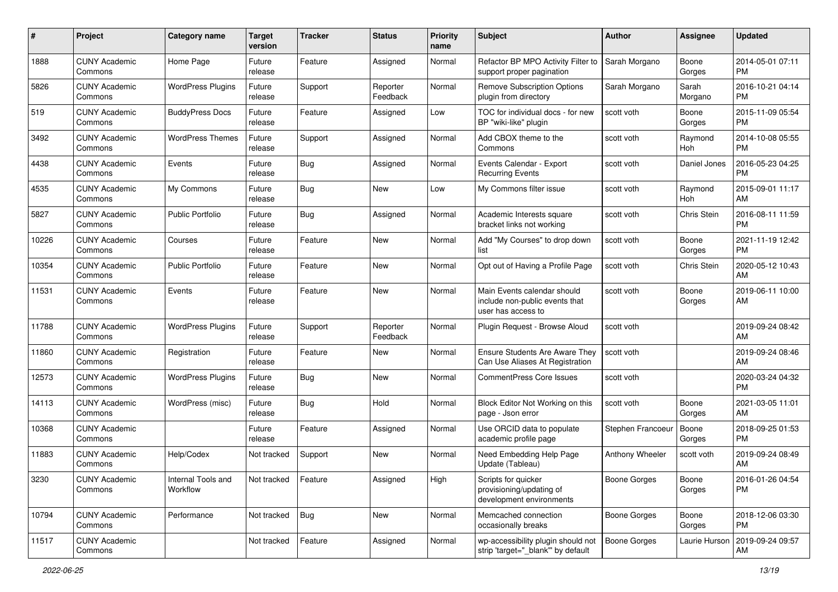| #     | Project                         | <b>Category name</b>           | <b>Target</b><br>version | <b>Tracker</b> | <b>Status</b>        | <b>Priority</b><br>name | <b>Subject</b>                                                                      | Author              | Assignee         | <b>Updated</b>                |
|-------|---------------------------------|--------------------------------|--------------------------|----------------|----------------------|-------------------------|-------------------------------------------------------------------------------------|---------------------|------------------|-------------------------------|
| 1888  | <b>CUNY Academic</b><br>Commons | Home Page                      | Future<br>release        | Feature        | Assigned             | Normal                  | Refactor BP MPO Activity Filter to<br>support proper pagination                     | Sarah Morgano       | Boone<br>Gorges  | 2014-05-01 07:11<br><b>PM</b> |
| 5826  | <b>CUNY Academic</b><br>Commons | <b>WordPress Plugins</b>       | Future<br>release        | Support        | Reporter<br>Feedback | Normal                  | <b>Remove Subscription Options</b><br>plugin from directory                         | Sarah Morgano       | Sarah<br>Morgano | 2016-10-21 04:14<br><b>PM</b> |
| 519   | <b>CUNY Academic</b><br>Commons | <b>BuddyPress Docs</b>         | Future<br>release        | Feature        | Assigned             | Low                     | TOC for individual docs - for new<br>BP "wiki-like" plugin                          | scott voth          | Boone<br>Gorges  | 2015-11-09 05:54<br><b>PM</b> |
| 3492  | <b>CUNY Academic</b><br>Commons | <b>WordPress Themes</b>        | Future<br>release        | Support        | Assigned             | Normal                  | Add CBOX theme to the<br>Commons                                                    | scott voth          | Raymond<br>Hoh   | 2014-10-08 05:55<br><b>PM</b> |
| 4438  | <b>CUNY Academic</b><br>Commons | Events                         | Future<br>release        | <b>Bug</b>     | Assigned             | Normal                  | Events Calendar - Export<br><b>Recurring Events</b>                                 | scott voth          | Daniel Jones     | 2016-05-23 04:25<br><b>PM</b> |
| 4535  | <b>CUNY Academic</b><br>Commons | My Commons                     | Future<br>release        | Bug            | <b>New</b>           | Low                     | My Commons filter issue                                                             | scott voth          | Raymond<br>Hoh   | 2015-09-01 11:17<br>AM        |
| 5827  | <b>CUNY Academic</b><br>Commons | <b>Public Portfolio</b>        | Future<br>release        | Bug            | Assigned             | Normal                  | Academic Interests square<br>bracket links not working                              | scott voth          | Chris Stein      | 2016-08-11 11:59<br><b>PM</b> |
| 10226 | <b>CUNY Academic</b><br>Commons | Courses                        | Future<br>release        | Feature        | <b>New</b>           | Normal                  | Add "My Courses" to drop down<br>list                                               | scott voth          | Boone<br>Gorges  | 2021-11-19 12:42<br><b>PM</b> |
| 10354 | <b>CUNY Academic</b><br>Commons | <b>Public Portfolio</b>        | Future<br>release        | Feature        | <b>New</b>           | Normal                  | Opt out of Having a Profile Page                                                    | scott voth          | Chris Stein      | 2020-05-12 10:43<br>AM        |
| 11531 | <b>CUNY Academic</b><br>Commons | Events                         | Future<br>release        | Feature        | <b>New</b>           | Normal                  | Main Events calendar should<br>include non-public events that<br>user has access to | scott voth          | Boone<br>Gorges  | 2019-06-11 10:00<br>AM        |
| 11788 | <b>CUNY Academic</b><br>Commons | <b>WordPress Plugins</b>       | Future<br>release        | Support        | Reporter<br>Feedback | Normal                  | Plugin Request - Browse Aloud                                                       | scott voth          |                  | 2019-09-24 08:42<br>AM        |
| 11860 | <b>CUNY Academic</b><br>Commons | Registration                   | Future<br>release        | Feature        | <b>New</b>           | Normal                  | <b>Ensure Students Are Aware They</b><br>Can Use Aliases At Registration            | scott voth          |                  | 2019-09-24 08:46<br>AM        |
| 12573 | <b>CUNY Academic</b><br>Commons | <b>WordPress Plugins</b>       | Future<br>release        | <b>Bug</b>     | <b>New</b>           | Normal                  | <b>CommentPress Core Issues</b>                                                     | scott voth          |                  | 2020-03-24 04:32<br><b>PM</b> |
| 14113 | <b>CUNY Academic</b><br>Commons | WordPress (misc)               | Future<br>release        | Bug            | Hold                 | Normal                  | Block Editor Not Working on this<br>page - Json error                               | scott voth          | Boone<br>Gorges  | 2021-03-05 11:01<br>AM        |
| 10368 | <b>CUNY Academic</b><br>Commons |                                | Future<br>release        | Feature        | Assigned             | Normal                  | Use ORCID data to populate<br>academic profile page                                 | Stephen Francoeur   | Boone<br>Gorges  | 2018-09-25 01:53<br><b>PM</b> |
| 11883 | <b>CUNY Academic</b><br>Commons | Help/Codex                     | Not tracked              | Support        | <b>New</b>           | Normal                  | Need Embedding Help Page<br>Update (Tableau)                                        | Anthony Wheeler     | scott voth       | 2019-09-24 08:49<br>AM        |
| 3230  | <b>CUNY Academic</b><br>Commons | Internal Tools and<br>Workflow | Not tracked              | Feature        | Assigned             | High                    | Scripts for quicker<br>provisioning/updating of<br>development environments         | <b>Boone Gorges</b> | Boone<br>Gorges  | 2016-01-26 04:54<br>PM        |
| 10794 | <b>CUNY Academic</b><br>Commons | Performance                    | Not tracked              | <b>Bug</b>     | New                  | Normal                  | Memcached connection<br>occasionally breaks                                         | <b>Boone Gorges</b> | Boone<br>Gorges  | 2018-12-06 03:30<br><b>PM</b> |
| 11517 | <b>CUNY Academic</b><br>Commons |                                | Not tracked              | Feature        | Assigned             | Normal                  | wp-accessibility plugin should not<br>strip 'target="_blank"' by default            | <b>Boone Gorges</b> | Laurie Hurson    | 2019-09-24 09:57<br>AM        |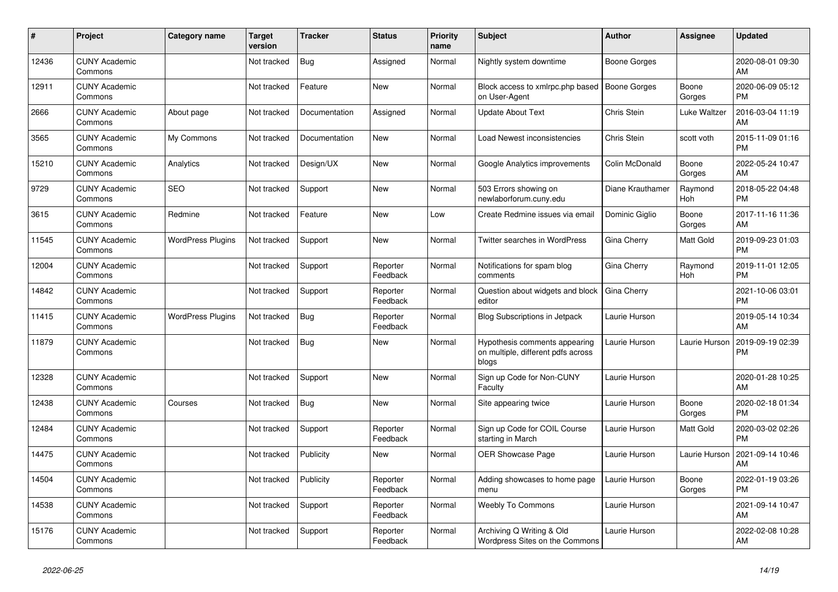| #     | Project                         | <b>Category name</b>     | <b>Target</b><br>version | <b>Tracker</b> | <b>Status</b>        | <b>Priority</b><br>name | <b>Subject</b>                                                               | <b>Author</b>       | <b>Assignee</b>  | <b>Updated</b>                |
|-------|---------------------------------|--------------------------|--------------------------|----------------|----------------------|-------------------------|------------------------------------------------------------------------------|---------------------|------------------|-------------------------------|
| 12436 | <b>CUNY Academic</b><br>Commons |                          | Not tracked              | <b>Bug</b>     | Assigned             | Normal                  | Nightly system downtime                                                      | <b>Boone Gorges</b> |                  | 2020-08-01 09:30<br>AM        |
| 12911 | <b>CUNY Academic</b><br>Commons |                          | Not tracked              | Feature        | <b>New</b>           | Normal                  | Block access to xmlrpc.php based<br>on User-Agent                            | Boone Gorges        | Boone<br>Gorges  | 2020-06-09 05:12<br>PM        |
| 2666  | <b>CUNY Academic</b><br>Commons | About page               | Not tracked              | Documentation  | Assigned             | Normal                  | <b>Update About Text</b>                                                     | Chris Stein         | Luke Waltzer     | 2016-03-04 11:19<br>AM        |
| 3565  | <b>CUNY Academic</b><br>Commons | My Commons               | Not tracked              | Documentation  | <b>New</b>           | Normal                  | Load Newest inconsistencies                                                  | Chris Stein         | scott voth       | 2015-11-09 01:16<br>PМ        |
| 15210 | <b>CUNY Academic</b><br>Commons | Analytics                | Not tracked              | Design/UX      | <b>New</b>           | Normal                  | Google Analytics improvements                                                | Colin McDonald      | Boone<br>Gorges  | 2022-05-24 10:47<br>AM        |
| 9729  | <b>CUNY Academic</b><br>Commons | <b>SEO</b>               | Not tracked              | Support        | <b>New</b>           | Normal                  | 503 Errors showing on<br>newlaborforum.cuny.edu                              | Diane Krauthamer    | Raymond<br>Hoh   | 2018-05-22 04:48<br><b>PM</b> |
| 3615  | <b>CUNY Academic</b><br>Commons | Redmine                  | Not tracked              | Feature        | <b>New</b>           | Low                     | Create Redmine issues via email                                              | Dominic Giglio      | Boone<br>Gorges  | 2017-11-16 11:36<br>AM        |
| 11545 | <b>CUNY Academic</b><br>Commons | <b>WordPress Plugins</b> | Not tracked              | Support        | <b>New</b>           | Normal                  | Twitter searches in WordPress                                                | Gina Cherry         | Matt Gold        | 2019-09-23 01:03<br><b>PM</b> |
| 12004 | <b>CUNY Academic</b><br>Commons |                          | Not tracked              | Support        | Reporter<br>Feedback | Normal                  | Notifications for spam blog<br>comments                                      | Gina Cherry         | Raymond<br>Hoh   | 2019-11-01 12:05<br>PM        |
| 14842 | <b>CUNY Academic</b><br>Commons |                          | Not tracked              | Support        | Reporter<br>Feedback | Normal                  | Question about widgets and block<br>editor                                   | Gina Cherry         |                  | 2021-10-06 03:01<br><b>PM</b> |
| 11415 | <b>CUNY Academic</b><br>Commons | <b>WordPress Plugins</b> | Not tracked              | <b>Bug</b>     | Reporter<br>Feedback | Normal                  | <b>Blog Subscriptions in Jetpack</b>                                         | Laurie Hurson       |                  | 2019-05-14 10:34<br>AM        |
| 11879 | <b>CUNY Academic</b><br>Commons |                          | Not tracked              | <b>Bug</b>     | New                  | Normal                  | Hypothesis comments appearing<br>on multiple, different pdfs across<br>blogs | Laurie Hurson       | Laurie Hurson    | 2019-09-19 02:39<br>PM        |
| 12328 | <b>CUNY Academic</b><br>Commons |                          | Not tracked              | Support        | <b>New</b>           | Normal                  | Sign up Code for Non-CUNY<br>Faculty                                         | Laurie Hurson       |                  | 2020-01-28 10:25<br>AM        |
| 12438 | <b>CUNY Academic</b><br>Commons | Courses                  | Not tracked              | Bug            | <b>New</b>           | Normal                  | Site appearing twice                                                         | Laurie Hurson       | Boone<br>Gorges  | 2020-02-18 01:34<br><b>PM</b> |
| 12484 | <b>CUNY Academic</b><br>Commons |                          | Not tracked              | Support        | Reporter<br>Feedback | Normal                  | Sign up Code for COIL Course<br>starting in March                            | Laurie Hurson       | <b>Matt Gold</b> | 2020-03-02 02:26<br>PM        |
| 14475 | <b>CUNY Academic</b><br>Commons |                          | Not tracked              | Publicity      | <b>New</b>           | Normal                  | OER Showcase Page                                                            | Laurie Hurson       | Laurie Hurson    | 2021-09-14 10:46<br>AM        |
| 14504 | <b>CUNY Academic</b><br>Commons |                          | Not tracked              | Publicity      | Reporter<br>Feedback | Normal                  | Adding showcases to home page<br>menu                                        | Laurie Hurson       | Boone<br>Gorges  | 2022-01-19 03:26<br><b>PM</b> |
| 14538 | <b>CUNY Academic</b><br>Commons |                          | Not tracked              | Support        | Reporter<br>Feedback | Normal                  | <b>Weebly To Commons</b>                                                     | Laurie Hurson       |                  | 2021-09-14 10:47<br>AM        |
| 15176 | <b>CUNY Academic</b><br>Commons |                          | Not tracked              | Support        | Reporter<br>Feedback | Normal                  | Archiving Q Writing & Old<br>Wordpress Sites on the Commons                  | Laurie Hurson       |                  | 2022-02-08 10:28<br>AM        |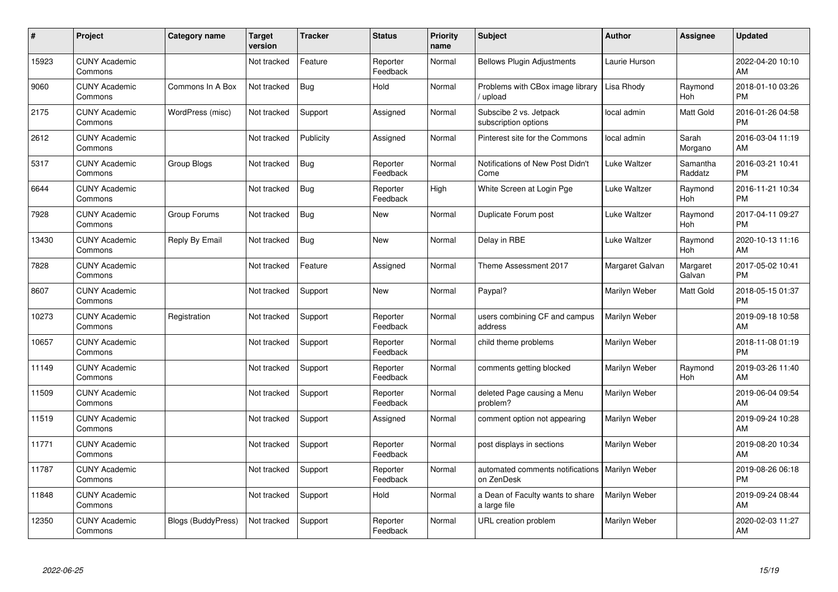| #     | Project                         | <b>Category name</b>      | <b>Target</b><br>version | <b>Tracker</b> | <b>Status</b>        | <b>Priority</b><br>name | <b>Subject</b>                                                 | <b>Author</b>   | <b>Assignee</b>       | <b>Updated</b>                |
|-------|---------------------------------|---------------------------|--------------------------|----------------|----------------------|-------------------------|----------------------------------------------------------------|-----------------|-----------------------|-------------------------------|
| 15923 | <b>CUNY Academic</b><br>Commons |                           | Not tracked              | Feature        | Reporter<br>Feedback | Normal                  | <b>Bellows Plugin Adjustments</b>                              | Laurie Hurson   |                       | 2022-04-20 10:10<br>AM        |
| 9060  | <b>CUNY Academic</b><br>Commons | Commons In A Box          | Not tracked              | Bug            | Hold                 | Normal                  | Problems with CBox image library<br>upload                     | Lisa Rhody      | Raymond<br><b>Hoh</b> | 2018-01-10 03:26<br><b>PM</b> |
| 2175  | <b>CUNY Academic</b><br>Commons | WordPress (misc)          | Not tracked              | Support        | Assigned             | Normal                  | Subscibe 2 vs. Jetpack<br>subscription options                 | local admin     | Matt Gold             | 2016-01-26 04:58<br><b>PM</b> |
| 2612  | <b>CUNY Academic</b><br>Commons |                           | Not tracked              | Publicity      | Assigned             | Normal                  | Pinterest site for the Commons                                 | local admin     | Sarah<br>Morgano      | 2016-03-04 11:19<br>AM        |
| 5317  | <b>CUNY Academic</b><br>Commons | Group Blogs               | Not tracked              | Bug            | Reporter<br>Feedback | Normal                  | Notifications of New Post Didn't<br>Come                       | Luke Waltzer    | Samantha<br>Raddatz   | 2016-03-21 10:41<br><b>PM</b> |
| 6644  | <b>CUNY Academic</b><br>Commons |                           | Not tracked              | <b>Bug</b>     | Reporter<br>Feedback | High                    | White Screen at Login Pge                                      | Luke Waltzer    | Raymond<br>Hoh        | 2016-11-21 10:34<br><b>PM</b> |
| 7928  | <b>CUNY Academic</b><br>Commons | Group Forums              | Not tracked              | <b>Bug</b>     | <b>New</b>           | Normal                  | Duplicate Forum post                                           | Luke Waltzer    | Raymond<br>Hoh        | 2017-04-11 09:27<br><b>PM</b> |
| 13430 | <b>CUNY Academic</b><br>Commons | Reply By Email            | Not tracked              | Bug            | New                  | Normal                  | Delay in RBE                                                   | Luke Waltzer    | Raymond<br>Hoh        | 2020-10-13 11:16<br>AM        |
| 7828  | <b>CUNY Academic</b><br>Commons |                           | Not tracked              | Feature        | Assigned             | Normal                  | Theme Assessment 2017                                          | Margaret Galvan | Margaret<br>Galvan    | 2017-05-02 10:41<br><b>PM</b> |
| 8607  | <b>CUNY Academic</b><br>Commons |                           | Not tracked              | Support        | <b>New</b>           | Normal                  | Paypal?                                                        | Marilyn Weber   | Matt Gold             | 2018-05-15 01:37<br><b>PM</b> |
| 10273 | <b>CUNY Academic</b><br>Commons | Registration              | Not tracked              | Support        | Reporter<br>Feedback | Normal                  | users combining CF and campus<br>address                       | Marilyn Weber   |                       | 2019-09-18 10:58<br>AM        |
| 10657 | <b>CUNY Academic</b><br>Commons |                           | Not tracked              | Support        | Reporter<br>Feedback | Normal                  | child theme problems                                           | Marilyn Weber   |                       | 2018-11-08 01:19<br><b>PM</b> |
| 11149 | <b>CUNY Academic</b><br>Commons |                           | Not tracked              | Support        | Reporter<br>Feedback | Normal                  | comments getting blocked                                       | Marilyn Weber   | Raymond<br>Hoh        | 2019-03-26 11:40<br>AM        |
| 11509 | <b>CUNY Academic</b><br>Commons |                           | Not tracked              | Support        | Reporter<br>Feedback | Normal                  | deleted Page causing a Menu<br>problem?                        | Marilyn Weber   |                       | 2019-06-04 09:54<br>AM        |
| 11519 | <b>CUNY Academic</b><br>Commons |                           | Not tracked              | Support        | Assigned             | Normal                  | comment option not appearing                                   | Marilyn Weber   |                       | 2019-09-24 10:28<br>AM        |
| 11771 | <b>CUNY Academic</b><br>Commons |                           | Not tracked              | Support        | Reporter<br>Feedback | Normal                  | post displays in sections                                      | Marilyn Weber   |                       | 2019-08-20 10:34<br>AM        |
| 11787 | <b>CUNY Academic</b><br>Commons |                           | Not tracked              | Support        | Reporter<br>Feedback | Normal                  | automated comments notifications   Marilyn Weber<br>on ZenDesk |                 |                       | 2019-08-26 06:18<br><b>PM</b> |
| 11848 | <b>CUNY Academic</b><br>Commons |                           | Not tracked              | Support        | Hold                 | Normal                  | a Dean of Faculty wants to share<br>a large file               | Marilyn Weber   |                       | 2019-09-24 08:44<br>AM        |
| 12350 | <b>CUNY Academic</b><br>Commons | <b>Blogs (BuddyPress)</b> | Not tracked              | Support        | Reporter<br>Feedback | Normal                  | URL creation problem                                           | Marilyn Weber   |                       | 2020-02-03 11:27<br>AM        |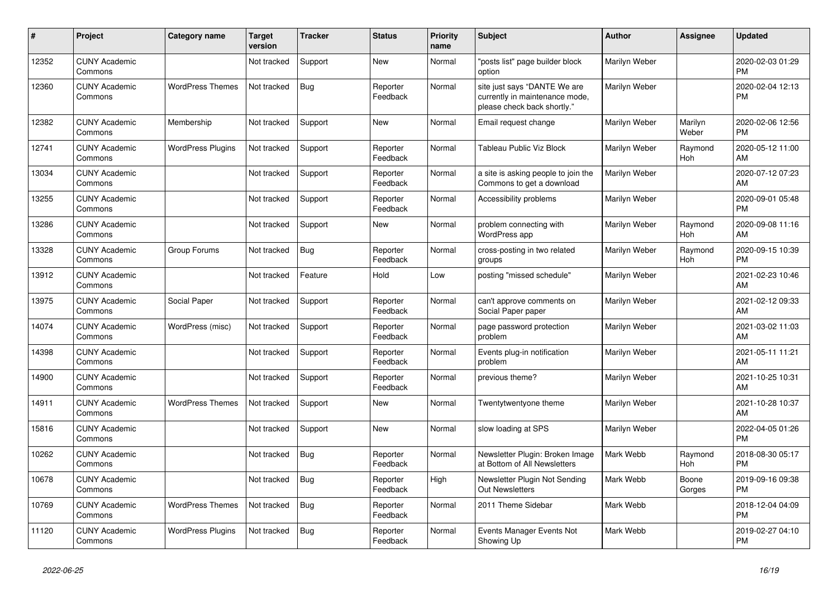| #     | Project                         | <b>Category name</b>     | Target<br>version | <b>Tracker</b> | <b>Status</b>        | <b>Priority</b><br>name | <b>Subject</b>                                                                                | <b>Author</b> | <b>Assignee</b>       | <b>Updated</b>                |
|-------|---------------------------------|--------------------------|-------------------|----------------|----------------------|-------------------------|-----------------------------------------------------------------------------------------------|---------------|-----------------------|-------------------------------|
| 12352 | <b>CUNY Academic</b><br>Commons |                          | Not tracked       | Support        | <b>New</b>           | Normal                  | 'posts list" page builder block<br>option                                                     | Marilyn Weber |                       | 2020-02-03 01:29<br><b>PM</b> |
| 12360 | <b>CUNY Academic</b><br>Commons | <b>WordPress Themes</b>  | Not tracked       | Bug            | Reporter<br>Feedback | Normal                  | site just says "DANTE We are<br>currently in maintenance mode,<br>please check back shortly." | Marilyn Weber |                       | 2020-02-04 12:13<br><b>PM</b> |
| 12382 | <b>CUNY Academic</b><br>Commons | Membership               | Not tracked       | Support        | <b>New</b>           | Normal                  | Email request change                                                                          | Marilyn Weber | Marilyn<br>Weber      | 2020-02-06 12:56<br><b>PM</b> |
| 12741 | <b>CUNY Academic</b><br>Commons | <b>WordPress Plugins</b> | Not tracked       | Support        | Reporter<br>Feedback | Normal                  | Tableau Public Viz Block                                                                      | Marilyn Weber | Raymond<br>Hoh        | 2020-05-12 11:00<br>AM        |
| 13034 | <b>CUNY Academic</b><br>Commons |                          | Not tracked       | Support        | Reporter<br>Feedback | Normal                  | a site is asking people to join the<br>Commons to get a download                              | Marilyn Weber |                       | 2020-07-12 07:23<br>AM        |
| 13255 | <b>CUNY Academic</b><br>Commons |                          | Not tracked       | Support        | Reporter<br>Feedback | Normal                  | Accessibility problems                                                                        | Marilyn Weber |                       | 2020-09-01 05:48<br><b>PM</b> |
| 13286 | <b>CUNY Academic</b><br>Commons |                          | Not tracked       | Support        | New                  | Normal                  | problem connecting with<br>WordPress app                                                      | Marilyn Weber | Raymond<br>Hoh        | 2020-09-08 11:16<br>AM        |
| 13328 | <b>CUNY Academic</b><br>Commons | Group Forums             | Not tracked       | Bug            | Reporter<br>Feedback | Normal                  | cross-posting in two related<br>groups                                                        | Marilyn Weber | Raymond<br><b>Hoh</b> | 2020-09-15 10:39<br><b>PM</b> |
| 13912 | <b>CUNY Academic</b><br>Commons |                          | Not tracked       | Feature        | Hold                 | Low                     | posting "missed schedule"                                                                     | Marilyn Weber |                       | 2021-02-23 10:46<br>AM        |
| 13975 | <b>CUNY Academic</b><br>Commons | Social Paper             | Not tracked       | Support        | Reporter<br>Feedback | Normal                  | can't approve comments on<br>Social Paper paper                                               | Marilyn Weber |                       | 2021-02-12 09:33<br>AM        |
| 14074 | <b>CUNY Academic</b><br>Commons | WordPress (misc)         | Not tracked       | Support        | Reporter<br>Feedback | Normal                  | page password protection<br>problem                                                           | Marilyn Weber |                       | 2021-03-02 11:03<br>AM        |
| 14398 | <b>CUNY Academic</b><br>Commons |                          | Not tracked       | Support        | Reporter<br>Feedback | Normal                  | Events plug-in notification<br>problem                                                        | Marilyn Weber |                       | 2021-05-11 11:21<br>AM        |
| 14900 | <b>CUNY Academic</b><br>Commons |                          | Not tracked       | Support        | Reporter<br>Feedback | Normal                  | previous theme?                                                                               | Marilyn Weber |                       | 2021-10-25 10:31<br>AM        |
| 14911 | <b>CUNY Academic</b><br>Commons | <b>WordPress Themes</b>  | Not tracked       | Support        | New                  | Normal                  | Twentytwentyone theme                                                                         | Marilyn Weber |                       | 2021-10-28 10:37<br>AM        |
| 15816 | <b>CUNY Academic</b><br>Commons |                          | Not tracked       | Support        | <b>New</b>           | Normal                  | slow loading at SPS                                                                           | Marilyn Weber |                       | 2022-04-05 01:26<br><b>PM</b> |
| 10262 | <b>CUNY Academic</b><br>Commons |                          | Not tracked       | <b>Bug</b>     | Reporter<br>Feedback | Normal                  | Newsletter Plugin: Broken Image<br>at Bottom of All Newsletters                               | Mark Webb     | Raymond<br><b>Hoh</b> | 2018-08-30 05:17<br><b>PM</b> |
| 10678 | <b>CUNY Academic</b><br>Commons |                          | Not tracked       | Bug            | Reporter<br>Feedback | High                    | Newsletter Plugin Not Sending<br><b>Out Newsletters</b>                                       | Mark Webb     | Boone<br>Gorges       | 2019-09-16 09:38<br><b>PM</b> |
| 10769 | <b>CUNY Academic</b><br>Commons | <b>WordPress Themes</b>  | Not tracked       | Bug            | Reporter<br>Feedback | Normal                  | 2011 Theme Sidebar                                                                            | Mark Webb     |                       | 2018-12-04 04:09<br><b>PM</b> |
| 11120 | <b>CUNY Academic</b><br>Commons | <b>WordPress Plugins</b> | Not tracked       | <b>Bug</b>     | Reporter<br>Feedback | Normal                  | Events Manager Events Not<br>Showing Up                                                       | Mark Webb     |                       | 2019-02-27 04:10<br><b>PM</b> |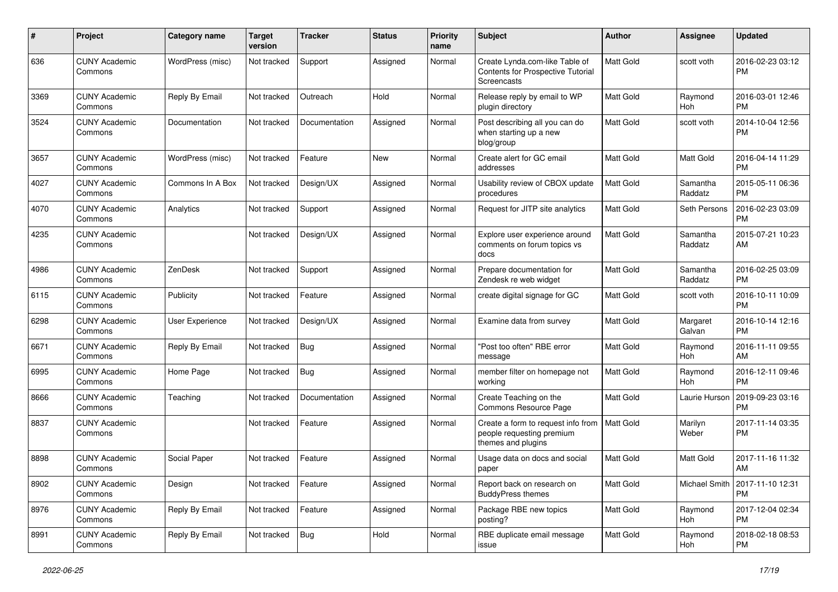| #    | Project                         | <b>Category name</b>   | <b>Target</b><br>version | <b>Tracker</b> | <b>Status</b> | <b>Priority</b><br>name | Subject                                                                               | <b>Author</b>    | <b>Assignee</b>       | <b>Updated</b>                |
|------|---------------------------------|------------------------|--------------------------|----------------|---------------|-------------------------|---------------------------------------------------------------------------------------|------------------|-----------------------|-------------------------------|
| 636  | <b>CUNY Academic</b><br>Commons | WordPress (misc)       | Not tracked              | Support        | Assigned      | Normal                  | Create Lynda.com-like Table of<br>Contents for Prospective Tutorial<br>Screencasts    | Matt Gold        | scott voth            | 2016-02-23 03:12<br><b>PM</b> |
| 3369 | <b>CUNY Academic</b><br>Commons | Reply By Email         | Not tracked              | Outreach       | Hold          | Normal                  | Release reply by email to WP<br>plugin directory                                      | Matt Gold        | Raymond<br><b>Hoh</b> | 2016-03-01 12:46<br>PM        |
| 3524 | <b>CUNY Academic</b><br>Commons | Documentation          | Not tracked              | Documentation  | Assigned      | Normal                  | Post describing all you can do<br>when starting up a new<br>blog/group                | Matt Gold        | scott voth            | 2014-10-04 12:56<br><b>PM</b> |
| 3657 | <b>CUNY Academic</b><br>Commons | WordPress (misc)       | Not tracked              | Feature        | New           | Normal                  | Create alert for GC email<br>addresses                                                | Matt Gold        | Matt Gold             | 2016-04-14 11:29<br><b>PM</b> |
| 4027 | <b>CUNY Academic</b><br>Commons | Commons In A Box       | Not tracked              | Design/UX      | Assigned      | Normal                  | Usability review of CBOX update<br>procedures                                         | Matt Gold        | Samantha<br>Raddatz   | 2015-05-11 06:36<br><b>PM</b> |
| 4070 | <b>CUNY Academic</b><br>Commons | Analytics              | Not tracked              | Support        | Assigned      | Normal                  | Request for JITP site analytics                                                       | Matt Gold        | <b>Seth Persons</b>   | 2016-02-23 03:09<br>PM        |
| 4235 | <b>CUNY Academic</b><br>Commons |                        | Not tracked              | Design/UX      | Assigned      | Normal                  | Explore user experience around<br>comments on forum topics vs<br>docs                 | Matt Gold        | Samantha<br>Raddatz   | 2015-07-21 10:23<br>AM        |
| 4986 | <b>CUNY Academic</b><br>Commons | ZenDesk                | Not tracked              | Support        | Assigned      | Normal                  | Prepare documentation for<br>Zendesk re web widget                                    | Matt Gold        | Samantha<br>Raddatz   | 2016-02-25 03:09<br><b>PM</b> |
| 6115 | <b>CUNY Academic</b><br>Commons | Publicity              | Not tracked              | Feature        | Assigned      | Normal                  | create digital signage for GC                                                         | <b>Matt Gold</b> | scott voth            | 2016-10-11 10:09<br><b>PM</b> |
| 6298 | <b>CUNY Academic</b><br>Commons | <b>User Experience</b> | Not tracked              | Design/UX      | Assigned      | Normal                  | Examine data from survey                                                              | Matt Gold        | Margaret<br>Galvan    | 2016-10-14 12:16<br><b>PM</b> |
| 6671 | <b>CUNY Academic</b><br>Commons | Reply By Email         | Not tracked              | Bug            | Assigned      | Normal                  | "Post too often" RBE error<br>message                                                 | Matt Gold        | Raymond<br>Hoh        | 2016-11-11 09:55<br>AM        |
| 6995 | <b>CUNY Academic</b><br>Commons | Home Page              | Not tracked              | <b>Bug</b>     | Assigned      | Normal                  | member filter on homepage not<br>working                                              | Matt Gold        | Raymond<br>Hoh        | 2016-12-11 09:46<br><b>PM</b> |
| 8666 | <b>CUNY Academic</b><br>Commons | Teaching               | Not tracked              | Documentation  | Assigned      | Normal                  | Create Teaching on the<br>Commons Resource Page                                       | Matt Gold        | Laurie Hurson         | 2019-09-23 03:16<br>PM        |
| 8837 | <b>CUNY Academic</b><br>Commons |                        | Not tracked              | Feature        | Assigned      | Normal                  | Create a form to request info from<br>people requesting premium<br>themes and plugins | Matt Gold        | Marilyn<br>Weber      | 2017-11-14 03:35<br>PM        |
| 8898 | <b>CUNY Academic</b><br>Commons | Social Paper           | Not tracked              | Feature        | Assigned      | Normal                  | Usage data on docs and social<br>paper                                                | Matt Gold        | Matt Gold             | 2017-11-16 11:32<br>AM        |
| 8902 | <b>CUNY Academic</b><br>Commons | Design                 | Not tracked              | Feature        | Assigned      | Normal                  | Report back on research on<br><b>BuddyPress themes</b>                                | Matt Gold        | Michael Smith         | 2017-11-10 12:31<br>PM        |
| 8976 | <b>CUNY Academic</b><br>Commons | Reply By Email         | Not tracked              | Feature        | Assigned      | Normal                  | Package RBE new topics<br>posting?                                                    | Matt Gold        | Raymond<br>Hoh        | 2017-12-04 02:34<br><b>PM</b> |
| 8991 | <b>CUNY Academic</b><br>Commons | Reply By Email         | Not tracked              | <b>Bug</b>     | Hold          | Normal                  | RBE duplicate email message<br>issue                                                  | Matt Gold        | Raymond<br>Hoh        | 2018-02-18 08:53<br><b>PM</b> |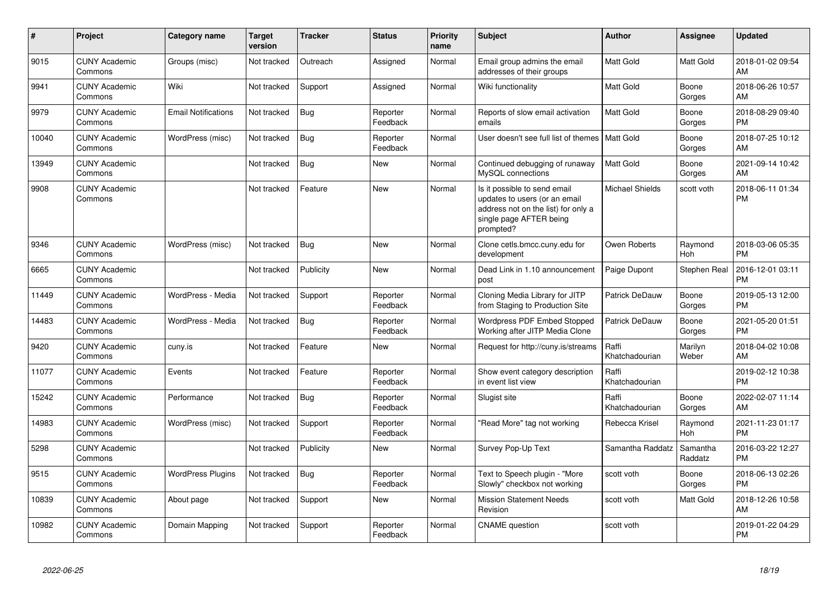| #     | <b>Project</b>                  | <b>Category name</b>       | <b>Target</b><br>version | <b>Tracker</b> | <b>Status</b>        | Priority<br>name | Subject                                                                                                                                      | <b>Author</b>           | Assignee            | <b>Updated</b>                |
|-------|---------------------------------|----------------------------|--------------------------|----------------|----------------------|------------------|----------------------------------------------------------------------------------------------------------------------------------------------|-------------------------|---------------------|-------------------------------|
| 9015  | <b>CUNY Academic</b><br>Commons | Groups (misc)              | Not tracked              | Outreach       | Assigned             | Normal           | Email group admins the email<br>addresses of their groups                                                                                    | Matt Gold               | <b>Matt Gold</b>    | 2018-01-02 09:54<br>AM        |
| 9941  | <b>CUNY Academic</b><br>Commons | Wiki                       | Not tracked              | Support        | Assigned             | Normal           | Wiki functionality                                                                                                                           | Matt Gold               | Boone<br>Gorges     | 2018-06-26 10:57<br>AM        |
| 9979  | <b>CUNY Academic</b><br>Commons | <b>Email Notifications</b> | Not tracked              | <b>Bug</b>     | Reporter<br>Feedback | Normal           | Reports of slow email activation<br>emails                                                                                                   | Matt Gold               | Boone<br>Gorges     | 2018-08-29 09:40<br><b>PM</b> |
| 10040 | <b>CUNY Academic</b><br>Commons | WordPress (misc)           | Not tracked              | <b>Bug</b>     | Reporter<br>Feedback | Normal           | User doesn't see full list of themes   Matt Gold                                                                                             |                         | Boone<br>Gorges     | 2018-07-25 10:12<br>AM        |
| 13949 | <b>CUNY Academic</b><br>Commons |                            | Not tracked              | <b>Bug</b>     | New                  | Normal           | Continued debugging of runaway<br>MySQL connections                                                                                          | Matt Gold               | Boone<br>Gorges     | 2021-09-14 10:42<br>AM        |
| 9908  | <b>CUNY Academic</b><br>Commons |                            | Not tracked              | Feature        | <b>New</b>           | Normal           | Is it possible to send email<br>updates to users (or an email<br>address not on the list) for only a<br>single page AFTER being<br>prompted? | <b>Michael Shields</b>  | scott voth          | 2018-06-11 01:34<br>PM        |
| 9346  | <b>CUNY Academic</b><br>Commons | WordPress (misc)           | Not tracked              | Bug            | <b>New</b>           | Normal           | Clone cetls.bmcc.cuny.edu for<br>development                                                                                                 | Owen Roberts            | Raymond<br>Hoh      | 2018-03-06 05:35<br><b>PM</b> |
| 6665  | <b>CUNY Academic</b><br>Commons |                            | Not tracked              | Publicity      | <b>New</b>           | Normal           | Dead Link in 1.10 announcement<br>post                                                                                                       | Paige Dupont            | Stephen Real        | 2016-12-01 03:11<br>PM        |
| 11449 | <b>CUNY Academic</b><br>Commons | WordPress - Media          | Not tracked              | Support        | Reporter<br>Feedback | Normal           | Cloning Media Library for JITP<br>from Staging to Production Site                                                                            | <b>Patrick DeDauw</b>   | Boone<br>Gorges     | 2019-05-13 12:00<br><b>PM</b> |
| 14483 | <b>CUNY Academic</b><br>Commons | WordPress - Media          | Not tracked              | <b>Bug</b>     | Reporter<br>Feedback | Normal           | Wordpress PDF Embed Stopped<br>Working after JITP Media Clone                                                                                | <b>Patrick DeDauw</b>   | Boone<br>Gorges     | 2021-05-20 01:51<br><b>PM</b> |
| 9420  | <b>CUNY Academic</b><br>Commons | cuny.is                    | Not tracked              | Feature        | <b>New</b>           | Normal           | Request for http://cuny.is/streams                                                                                                           | Raffi<br>Khatchadourian | Marilyn<br>Weber    | 2018-04-02 10:08<br>AM        |
| 11077 | <b>CUNY Academic</b><br>Commons | Events                     | Not tracked              | Feature        | Reporter<br>Feedback | Normal           | Show event category description<br>in event list view                                                                                        | Raffi<br>Khatchadourian |                     | 2019-02-12 10:38<br><b>PM</b> |
| 15242 | <b>CUNY Academic</b><br>Commons | Performance                | Not tracked              | Bug            | Reporter<br>Feedback | Normal           | Slugist site                                                                                                                                 | Raffi<br>Khatchadourian | Boone<br>Gorges     | 2022-02-07 11:14<br>AM        |
| 14983 | <b>CUNY Academic</b><br>Commons | WordPress (misc)           | Not tracked              | Support        | Reporter<br>Feedback | Normal           | 'Read More" tag not working                                                                                                                  | Rebecca Krisel          | Raymond<br>Hoh      | 2021-11-23 01:17<br><b>PM</b> |
| 5298  | <b>CUNY Academic</b><br>Commons |                            | Not tracked              | Publicity      | New                  | Normal           | Survey Pop-Up Text                                                                                                                           | Samantha Raddatz        | Samantha<br>Raddatz | 2016-03-22 12:27<br><b>PM</b> |
| 9515  | <b>CUNY Academic</b><br>Commons | <b>WordPress Plugins</b>   | Not tracked              | <b>Bug</b>     | Reporter<br>Feedback | Normal           | Text to Speech plugin - "More<br>Slowly" checkbox not working                                                                                | scott voth              | Boone<br>Gorges     | 2018-06-13 02:26<br><b>PM</b> |
| 10839 | <b>CUNY Academic</b><br>Commons | About page                 | Not tracked              | Support        | <b>New</b>           | Normal           | <b>Mission Statement Needs</b><br>Revision                                                                                                   | scott voth              | Matt Gold           | 2018-12-26 10:58<br>AM        |
| 10982 | <b>CUNY Academic</b><br>Commons | Domain Mapping             | Not tracked              | Support        | Reporter<br>Feedback | Normal           | <b>CNAME</b> question                                                                                                                        | scott voth              |                     | 2019-01-22 04:29<br><b>PM</b> |